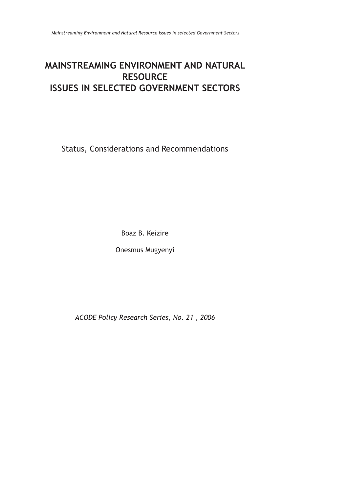# **MAINSTREAMING ENVIRONMENT AND NATURAL RESOURCE ISSUES IN SELECTED GOVERNMENT SECTORS**

Status, Considerations and Recommendations

Boaz B. Keizire

Onesmus Mugyenyi

*ACODE Policy Research Series, No. 21 , 2006*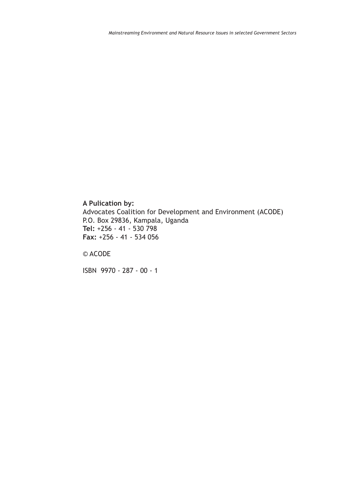### **A Pulication by:**

Advocates Coalition for Development and Environment (ACODE) P.O. Box 29836, Kampala, Uganda **Tel:** +256 - 41 - 530 798 **Fax:** +256 - 41 - 534 056

© ACODE

ISBN 9970 - 287 - 00 - 1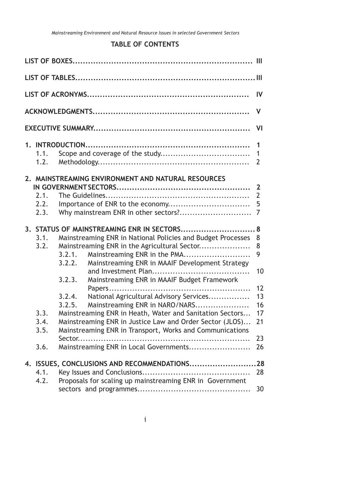# **TABLE OF CONTENTS**

|                                              |                                                |                                                                                                                                                                                                                                                                                                                                                                                                                                                                                                                                                                                                         | IV                                                          |
|----------------------------------------------|------------------------------------------------|---------------------------------------------------------------------------------------------------------------------------------------------------------------------------------------------------------------------------------------------------------------------------------------------------------------------------------------------------------------------------------------------------------------------------------------------------------------------------------------------------------------------------------------------------------------------------------------------------------|-------------------------------------------------------------|
|                                              |                                                |                                                                                                                                                                                                                                                                                                                                                                                                                                                                                                                                                                                                         | V                                                           |
|                                              |                                                |                                                                                                                                                                                                                                                                                                                                                                                                                                                                                                                                                                                                         | VI                                                          |
| 1.1.<br>1.2.                                 |                                                |                                                                                                                                                                                                                                                                                                                                                                                                                                                                                                                                                                                                         | $\mathbf 1$<br>1<br>$\overline{2}$                          |
| 2.1.<br>2.2.<br>2.3.                         |                                                | 2. MAINSTREAMING ENVIRONMENT AND NATURAL RESOURCES                                                                                                                                                                                                                                                                                                                                                                                                                                                                                                                                                      | $\overline{2}$<br>5<br>7                                    |
| 3.1.<br>3.2.<br>3.3.<br>3.4.<br>3.5.<br>3.6. | 3.2.1.<br>3.2.2.<br>3.2.3.<br>3.2.4.<br>3.2.5. | 3. STATUS OF MAINSTREAMING ENR IN SECTORS 8<br>Mainstreaming ENR in National Policies and Budget Processes<br>Mainstreaming ENR in the Agricultural Sector<br>Mainstreaming ENR in the PMA<br>Mainstreaming ENR in MAAIF Development Strategy<br>Mainstreaming ENR in MAAIF Budget Framework<br>National Agricultural Advisory Services<br>Mainstreaming ENR in NARO/NARS<br>Mainstreaming ENR in Heath, Water and Sanitation Sectors<br>Mainstreaming ENR in Justice Law and Order Sector (JLOS)<br>Mainstreaming ENR in Transport, Works and Communications<br>Mainstreaming ENR in Local Governments | 8<br>8<br>9<br>10<br>12<br>13<br>16<br>17<br>21<br>23<br>26 |
| 4.1.<br>4.2.                                 |                                                | 4. ISSUES, CONCLUSIONS AND RECOMMENDATIONS<br>Proposals for scaling up mainstreaming ENR in Government                                                                                                                                                                                                                                                                                                                                                                                                                                                                                                  | .28<br>28<br>30                                             |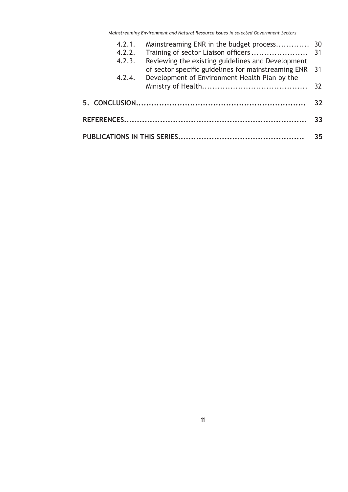*Mainstreaming Environment and Natural Resource Issues in selected Government Sectors*

|    | 4.2.1. |                                                                                                             |  |  |  |
|----|--------|-------------------------------------------------------------------------------------------------------------|--|--|--|
|    |        |                                                                                                             |  |  |  |
|    | 4.2.3. | Reviewing the existing guidelines and Development<br>of sector specific guidelines for mainstreaming ENR 31 |  |  |  |
|    | 4.2.4. | Development of Environment Health Plan by the                                                               |  |  |  |
|    |        |                                                                                                             |  |  |  |
| 32 |        |                                                                                                             |  |  |  |
| 33 |        |                                                                                                             |  |  |  |
| 35 |        |                                                                                                             |  |  |  |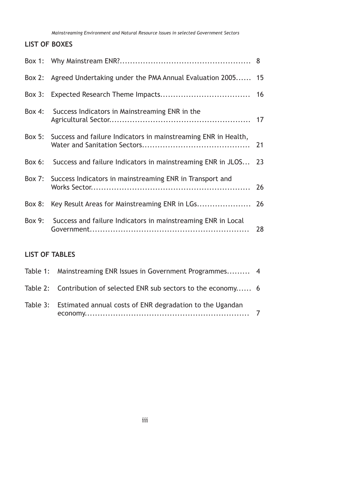*Mainstreaming Environment and Natural Resource Issues in selected Government Sectors*

### **LIST OF BOXES**

|            | Box 2: Agreed Undertaking under the PMA Annual Evaluation 2005 15     |    |
|------------|-----------------------------------------------------------------------|----|
| $Box$ $3:$ |                                                                       |    |
|            | Box 4: Success Indicators in Mainstreaming ENR in the                 |    |
|            | Box 5: Success and failure Indicators in mainstreaming ENR in Health, |    |
| $Box 6$ :  | Success and failure Indicators in mainstreaming ENR in JLOS 23        |    |
|            | Box 7: Success Indicators in mainstreaming ENR in Transport and       |    |
| Box $8:$   | Key Result Areas for Mainstreaming ENR in LGs 26                      |    |
| Box 9:     | Success and failure Indicators in mainstreaming ENR in Local          | 28 |

# **LIST OF TABLES**

| Table 1: Mainstreaming ENR Issues in Government Programmes 4       |  |
|--------------------------------------------------------------------|--|
| Table 2: Contribution of selected ENR sub sectors to the economy 6 |  |
| Table 3: Estimated annual costs of ENR degradation to the Ugandan  |  |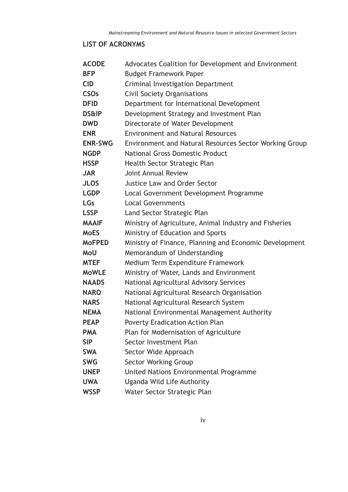# **LIST OF ACRONYMS**

| <b>ACODE</b>           | Advocates Coalition for Development and Environment    |
|------------------------|--------------------------------------------------------|
| <b>BFP</b>             | <b>Budget Framework Paper</b>                          |
| <b>CID</b>             | Criminal Investigation Department                      |
| <b>CSO<sub>s</sub></b> | <b>Civil Society Organisations</b>                     |
| <b>DFID</b>            | Department for International Development               |
| <b>DS&amp;IP</b>       | Development Strategy and Investment Plan               |
| <b>DWD</b>             | Directorate of Water Development                       |
| <b>ENR</b>             | <b>Environment and Natural Resources</b>               |
| <b>ENR-SWG</b>         | Environment and Natural Resources Sector Working Group |
| <b>NGDP</b>            | <b>National Gross Domestic Product</b>                 |
| <b>HSSP</b>            | Health Sector Strategic Plan                           |
| <b>JAR</b>             | Joint Annual Review                                    |
| <b>JLOS</b>            | <b>Justice Law and Order Sector</b>                    |
| <b>LGDP</b>            | Local Government Development Programme                 |
| <b>LGs</b>             | <b>Local Governments</b>                               |
| <b>LSSP</b>            | Land Sector Strategic Plan                             |
| <b>MAAIF</b>           | Ministry of Agriculture, Animal Industry and Fisheries |
| <b>MoES</b>            | Ministry of Education and Sports                       |
| <b>MoFPED</b>          | Ministry of Finance, Planning and Economic Development |
| MoU                    | Memorandum of Understanding                            |
| <b>MTEF</b>            | Medium Term Expenditure Framework                      |
| <b>MoWLE</b>           | Ministry of Water, Lands and Environment               |
| <b>NAADS</b>           | National Agricultural Advisory Services                |
| <b>NARO</b>            | National Agricultural Research Organisation            |
| <b>NARS</b>            | National Agricultural Research System                  |
| <b>NEMA</b>            | National Environmental Management Authority            |
| <b>PEAP</b>            | <b>Poverty Eradication Action Plan</b>                 |
| <b>PMA</b>             | Plan for Modernisation of Agriculture                  |
| <b>SIP</b>             | Sector Investment Plan                                 |
| <b>SWA</b>             | Sector Wide Approach                                   |
| <b>SWG</b>             | <b>Sector Working Group</b>                            |
| <b>UNEP</b>            | United Nations Environmental Programme                 |
| <b>UWA</b>             | Uganda Wild Life Authority                             |
| <b>WSSP</b>            | Water Sector Strategic Plan                            |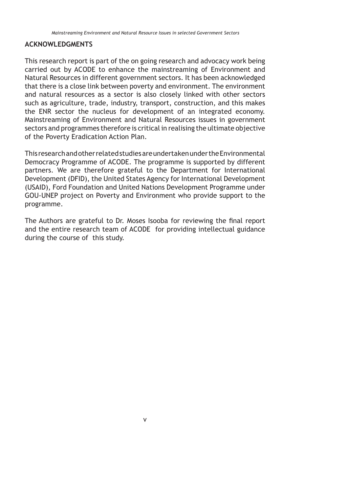#### **ACKNOWLEDGMENTS**

This research report is part of the on going research and advocacy work being carried out by ACODE to enhance the mainstreaming of Environment and Natural Resources in different government sectors. It has been acknowledged that there is a close link between poverty and environment. The environment and natural resources as a sector is also closely linked with other sectors such as agriculture, trade, industry, transport, construction, and this makes the ENR sector the nucleus for development of an integrated economy. Mainstreaming of Environment and Natural Resources issues in government sectors and programmes therefore is critical in realising the ultimate objective of the Poverty Eradication Action Plan.

This research and other related studies are undertaken under the Environmental Democracy Programme of ACODE. The programme is supported by different partners. We are therefore grateful to the Department for International Development (DFID), the United States Agency for International Development (USAID), Ford Foundation and United Nations Development Programme under GOU-UNEP project on Poverty and Environment who provide support to the programme.

The Authors are grateful to Dr. Moses Isooba for reviewing the final report and the entire research team of ACODE for providing intellectual guidance during the course of this study.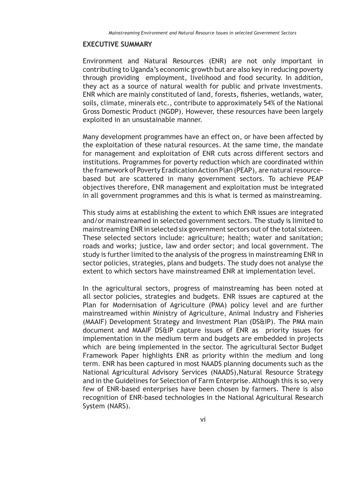#### **EXECUTIVE SUMMARY**

Environment and Natural Resources (ENR) are not only important in contributing to Uganda's economic growth but are also key in reducing poverty through providing employment, livelihood and food security. In addition, they act as a source of natural wealth for public and private investments. ENR which are mainly constituted of land, forests, fisheries, wetlands, water, soils, climate, minerals etc., contribute to approximately 54% of the National Gross Domestic Product (NGDP). However, these resources have been largely exploited in an unsustainable manner.

Many development programmes have an effect on, or have been affected by the exploitation of these natural resources. At the same time, the mandate for management and exploitation of ENR cuts across different sectors and institutions. Programmes for poverty reduction which are coordinated within the framework of Poverty Eradication Action Plan (PEAP), are natural resourcebased but are scattered in many government sectors. To achieve PEAP objectives therefore, ENR management and exploitation must be integrated in all government programmes and this is what is termed as mainstreaming.

This study aims at establishing the extent to which ENR issues are integrated and/or mainstreamed in selected government sectors. The study is limited to mainstreaming ENR in selected six government sectors out of the total sixteen. These selected sectors include: agriculture; health; water and sanitation; roads and works; justice, law and order sector; and local government. The study is further limited to the analysis of the progress in mainstreaming ENR in sector policies, strategies, plans and budgets. The study does not analyse the extent to which sectors have mainstreamed ENR at implementation level.

In the agricultural sectors, progress of mainstreaming has been noted at all sector policies, strategies and budgets. ENR issues are captured at the Plan for Modernisation of Agriculture (PMA) policy level and are further mainstreamed within Ministry of Agriculture, Animal Industry and Fisheries (MAAIF) Development Strategy and Investment Plan (DS&IP). The PMA main document and MAAIF DS&IP capture issues of ENR as priority issues for implementation in the medium term and budgets are embedded in projects which are being implemented in the sector. The agricultural Sector Budget Framework Paper highlights ENR as priority within the medium and long term. ENR has been captured in most NAADS planning documents such as the National Agricultural Advisory Services (NAADS),Natural Resource Strategy and in the Guidelines for Selection of Farm Enterprise. Although this is so,very few of ENR-based enterprises have been chosen by farmers. There is also recognition of ENR-based technologies in the National Agricultural Research System (NARS).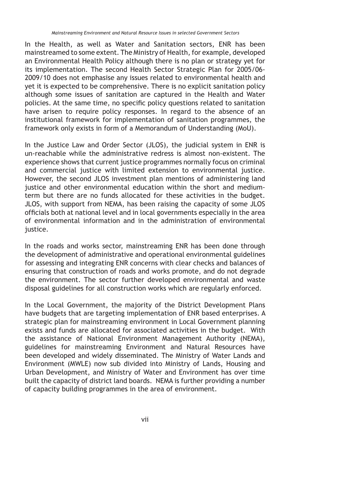In the Health, as well as Water and Sanitation sectors, ENR has been mainstreamed to some extent. The Ministry of Health, for example, developed an Environmental Health Policy although there is no plan or strategy yet for its implementation. The second Health Sector Strategic Plan for 2005/06- 2009/10 does not emphasise any issues related to environmental health and yet it is expected to be comprehensive. There is no explicit sanitation policy although some issues of sanitation are captured in the Health and Water policies. At the same time, no specific policy questions related to sanitation have arisen to require policy responses. In regard to the absence of an institutional framework for implementation of sanitation programmes, the framework only exists in form of a Memorandum of Understanding (MoU).

In the Justice Law and Order Sector (JLOS), the judicial system in ENR is un-reachable while the administrative redress is almost non-existent. The experience shows that current justice programmes normally focus on criminal and commercial justice with limited extension to environmental justice. However, the second JLOS investment plan mentions of administering land justice and other environmental education within the short and mediumterm but there are no funds allocated for these activities in the budget. JLOS, with support from NEMA, has been raising the capacity of some JLOS officials both at national level and in local governments especially in the area of environmental information and in the administration of environmental justice.

In the roads and works sector, mainstreaming ENR has been done through the development of administrative and operational environmental guidelines for assessing and integrating ENR concerns with clear checks and balances of ensuring that construction of roads and works promote, and do not degrade the environment. The sector further developed environmental and waste disposal guidelines for all construction works which are regularly enforced.

In the Local Government, the majority of the District Development Plans have budgets that are targeting implementation of ENR based enterprises. A strategic plan for mainstreaming environment in Local Government planning exists and funds are allocated for associated activities in the budget. With the assistance of National Environment Management Authority (NEMA), guidelines for mainstreaming Environment and Natural Resources have been developed and widely disseminated. The Ministry of Water Lands and Environment (MWLE) now sub divided into Ministry of Lands, Housing and Urban Development, and Ministry of Water and Environment has over time built the capacity of district land boards. NEMA is further providing a number of capacity building programmes in the area of environment.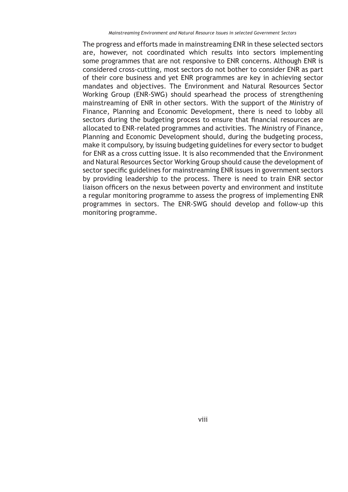The progress and efforts made in mainstreaming ENR in these selected sectors are, however, not coordinated which results into sectors implementing some programmes that are not responsive to ENR concerns. Although ENR is considered cross-cutting, most sectors do not bother to consider ENR as part of their core business and yet ENR programmes are key in achieving sector mandates and objectives. The Environment and Natural Resources Sector Working Group (ENR-SWG) should spearhead the process of strengthening mainstreaming of ENR in other sectors. With the support of the Ministry of Finance, Planning and Economic Development, there is need to lobby all sectors during the budgeting process to ensure that financial resources are allocated to ENR-related programmes and activities. The Ministry of Finance, Planning and Economic Development should, during the budgeting process, make it compulsory, by issuing budgeting guidelines for every sector to budget for ENR as a cross cutting issue. It is also recommended that the Environment and Natural Resources Sector Working Group should cause the development of sector specific guidelines for mainstreaming ENR issues in government sectors by providing leadership to the process. There is need to train ENR sector liaison officers on the nexus between poverty and environment and institute a regular monitoring programme to assess the progress of implementing ENR programmes in sectors. The ENR-SWG should develop and follow-up this monitoring programme.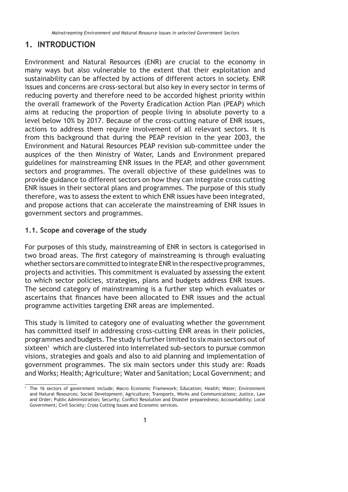# **1. INTRODUCTION**

Environment and Natural Resources (ENR) are crucial to the economy in many ways but also vulnerable to the extent that their exploitation and sustainability can be affected by actions of different actors in society. ENR issues and concerns are cross-sectoral but also key in every sector in terms of reducing poverty and therefore need to be accorded highest priority within the overall framework of the Poverty Eradication Action Plan (PEAP) which aims at reducing the proportion of people living in absolute poverty to a level below 10% by 2017. Because of the cross-cutting nature of ENR issues, actions to address them require involvement of all relevant sectors. It is from this background that during the PEAP revision in the year 2003, the Environment and Natural Resources PEAP revision sub-committee under the auspices of the then Ministry of Water, Lands and Environment prepared guidelines for mainstreaming ENR issues in the PEAP, and other government sectors and programmes. The overall objective of these guidelines was to provide guidance to different sectors on how they can integrate cross cutting ENR issues in their sectoral plans and programmes. The purpose of this study therefore, was to assess the extent to which ENR issues have been integrated, and propose actions that can accelerate the mainstreaming of ENR issues in government sectors and programmes.

### **1.1. Scope and coverage of the study**

For purposes of this study, mainstreaming of ENR in sectors is categorised in two broad areas. The first category of mainstreaming is through evaluating whether sectors are committed to integrate ENR in the respective programmes, projects and activities. This commitment is evaluated by assessing the extent to which sector policies, strategies, plans and budgets address ENR issues. The second category of mainstreaming is a further step which evaluates or ascertains that finances have been allocated to ENR issues and the actual programme activities targeting ENR areas are implemented.

This study is limited to category one of evaluating whether the government has committed itself in addressing cross-cutting ENR areas in their policies, programmes and budgets. The study is further limited to six main sectors out of sixteen<sup>1</sup> which are clustered into interrelated sub-sectors to pursue common visions, strategies and goals and also to aid planning and implementation of government programmes. The six main sectors under this study are: Roads and Works; Health; Agriculture; Water and Sanitation; Local Government; and

<sup>1</sup> The 16 sectors of government include; Macro Economic Framework; Education; Health; Water; Environment and Natural Resources; Social Development; Agriculture; Transports, Works and Communications; Justice, Law and Order; Public Administration; Security; Conflict Resolution and Disaster preparedness; Accountability; Local Government; Civil Society; Cross Cutting Issues and Economic services.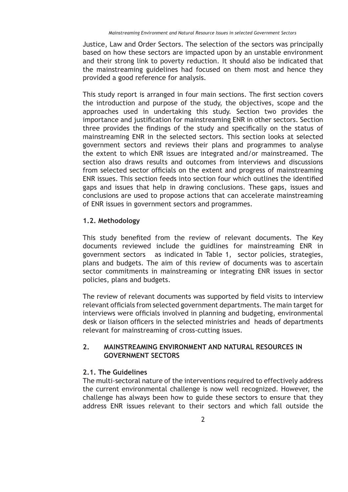Justice, Law and Order Sectors. The selection of the sectors was principally based on how these sectors are impacted upon by an unstable environment and their strong link to poverty reduction. It should also be indicated that the mainstreaming guidelines had focused on them most and hence they provided a good reference for analysis.

This study report is arranged in four main sections. The first section covers the introduction and purpose of the study, the objectives, scope and the approaches used in undertaking this study. Section two provides the importance and justification for mainstreaming ENR in other sectors. Section three provides the findings of the study and specifically on the status of mainstreaming ENR in the selected sectors. This section looks at selected government sectors and reviews their plans and programmes to analyse the extent to which ENR issues are integrated and/or mainstreamed. The section also draws results and outcomes from interviews and discussions from selected sector officials on the extent and progress of mainstreaming ENR issues. This section feeds into section four which outlines the identified gaps and issues that help in drawing conclusions. These gaps, issues and conclusions are used to propose actions that can accelerate mainstreaming of ENR issues in government sectors and programmes.

### **1.2. Methodology**

This study benefited from the review of relevant documents. The Key documents reviewed include the guidlines for mainstreaming ENR in government sectors as indicated in Table 1, sector policies, strategies, plans and budgets. The aim of this review of documents was to ascertain sector commitments in mainstreaming or integrating ENR issues in sector policies, plans and budgets.

The review of relevant documents was supported by field visits to interview relevant officials from selected government departments. The main target for interviews were officials involved in planning and budgeting, environmental desk or liaison officers in the selected ministries and heads of departments relevant for mainstreaming of cross-cutting issues.

### **2. MAINSTREAMING ENVIRONMENT AND NATURAL RESOURCES IN GOVERNMENT SECTORS**

#### **2.1. The Guidelines**

The multi-sectoral nature of the interventions required to effectively address the current environmental challenge is now well recognized. However, the challenge has always been how to guide these sectors to ensure that they address ENR issues relevant to their sectors and which fall outside the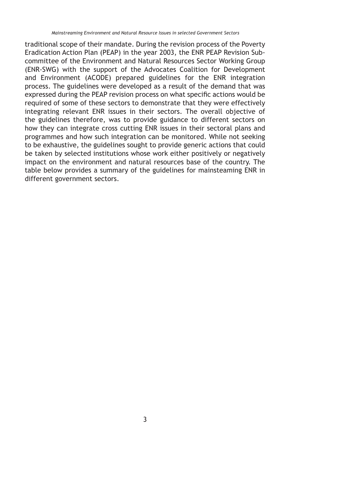traditional scope of their mandate. During the revision process of the Poverty Eradication Action Plan (PEAP) in the year 2003, the ENR PEAP Revision Subcommittee of the Environment and Natural Resources Sector Working Group (ENR-SWG) with the support of the Advocates Coalition for Development and Environment (ACODE) prepared guidelines for the ENR integration process. The guidelines were developed as a result of the demand that was expressed during the PEAP revision process on what specific actions would be required of some of these sectors to demonstrate that they were effectively integrating relevant ENR issues in their sectors. The overall objective of the guidelines therefore, was to provide guidance to different sectors on how they can integrate cross cutting ENR issues in their sectoral plans and programmes and how such integration can be monitored. While not seeking to be exhaustive, the guidelines sought to provide generic actions that could be taken by selected institutions whose work either positively or negatively impact on the environment and natural resources base of the country. The table below provides a summary of the guidelines for mainsteaming ENR in different government sectors.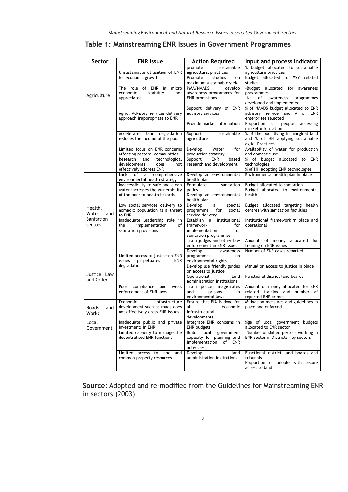|  |  | Table 1: Mainstreaming ENR Issues in Government Programmes |  |  |  |  |
|--|--|------------------------------------------------------------|--|--|--|--|
|--|--|------------------------------------------------------------|--|--|--|--|

| Sector                | <b>ENR Issue</b>                                                             | <b>Action Required</b>                                  | Input and process Indicator                                             |
|-----------------------|------------------------------------------------------------------------------|---------------------------------------------------------|-------------------------------------------------------------------------|
|                       | Unsustainable utilisation of ENR                                             | promote<br>sustainable<br>agricultural practices        | % budget allocated to sustainable<br>agriculture practices              |
|                       | for economic growth                                                          | Promote<br>studies<br>on                                | Budget allocated to MSY related                                         |
|                       |                                                                              | maximum sustainable yield                               | studies                                                                 |
|                       | The role<br>of ENR in<br>micro<br>economic<br>stability<br>not               | develop<br>PMA/NAADS<br>awareness programmes for        | -Budget allocated<br>for<br>awareness<br>programmes                     |
| Agriculture           | appreciated                                                                  | <b>ENR</b> promotions                                   | -No<br>of<br>awareness<br>programmes                                    |
|                       |                                                                              | Support delivery of ENR                                 | developed and implemented<br>% of NAADS budget allocated to ENR         |
|                       | Agric. Advisory services delivery                                            | advisory services                                       | advisory service and # of ENR                                           |
|                       | approach inappropriate to ENR                                                |                                                         | enterprises selected<br>Proportion                                      |
|                       |                                                                              | Provide market information                              | of<br>people<br>accessing<br>market information                         |
|                       | Accelerated land degradation                                                 | Support<br>sustainable                                  | % of the poor living in marginal land                                   |
|                       | reduces the income of the poor                                               | agriculture                                             | and % of HH applying sustainable<br>agric. Practices                    |
|                       | Limited focus on ENR concerns                                                | Water<br>Develop<br>for                                 | Availability of water for production                                    |
|                       | affecting pastoral communities<br>Research<br>and<br>technological           | production strategy<br>Support<br><b>ENR</b><br>based   | and domestic use<br>% of budget allocated to ENR                        |
|                       | developments<br>does<br>not                                                  | research and development                                | technologies                                                            |
|                       | effectively address ENR                                                      |                                                         | % of HH adopting ENR technologies<br>Environmental health plan in place |
|                       | of<br>$\mathsf{a}$<br>comprehensive<br>Lack<br>environmental health strategy | Develop an environmental<br>health plan                 |                                                                         |
|                       | Inaccessibility to safe and clean                                            | Formulate<br>sanitation                                 | <b>Budget allocated to sanitation</b>                                   |
|                       | water increases the vulnerability<br>of the poor to health hazards           | policy.<br>Develop an environmental                     | Budget allocated to environmental<br>health                             |
|                       |                                                                              | health plan                                             |                                                                         |
| Health,               | Low social services delivery to<br>nomadic population is a threat            | Develop<br>a<br>special<br>for<br>programme<br>social   | Budget allocated targeting health<br>centres with sanitation facilities |
| Water<br>and          | to ENR                                                                       | service delivery                                        |                                                                         |
| Sanitation<br>sectors | Inadequate leadership role in<br>implementation<br>the<br>of                 | Establish a<br>institutional<br>framework<br>for        | Institutional framework in place and<br>operational                     |
|                       | sanitation provisions                                                        | implementation<br>of                                    |                                                                         |
|                       |                                                                              | sanitation programmes                                   |                                                                         |
|                       |                                                                              | Train judges and other law<br>enforcement in ENR issues | Amount of money<br>allocated<br>for<br>training on ENR issues           |
|                       | Limited access to justice on ENR                                             | Develop<br>awareness                                    | Number of ENR cases reported                                            |
|                       | issues<br>perpetuates<br>ENR                                                 | programmes<br>on<br>environmental rights                |                                                                         |
|                       | degradation                                                                  | Develop use friendly guides                             | Manual on access to justice in place                                    |
| Justice Law           |                                                                              | on access to justice<br>Operational<br>land             | Functional district land boards                                         |
| and Order             |                                                                              | administration institutions                             |                                                                         |
|                       | Poor compliance<br>and<br>weak<br>enforcement of ENR laws                    | Train police, magistrates<br>and<br>prisons<br>in       | Amount of money allocated for ENR<br>related training and number of     |
|                       |                                                                              | environmental laws                                      | reported ENR crimes                                                     |
|                       | Economic<br>infrastructure<br>development such as roads does                 | Ensure that EIA is done for<br>all<br>economic          | Mitigation measures and guidelines in<br>place and enforced             |
| Roads<br>and<br>Works | not effectively dress ENR issues                                             | infrastructural                                         |                                                                         |
|                       |                                                                              | developments                                            |                                                                         |
| Local<br>Government   | Inadequate public and private<br>investments in ENR                          | Integrate ENR concerns in<br><b>ENR</b> budgets         | %ge of local government budgets<br>allocated to ENR sector              |
|                       | Limited capacity to manage the                                               | Build local government                                  | Number of skilled persons working in                                    |
|                       | decentralised ENR functions                                                  | capacity for planning and<br>implementation of ENR      | ENR sector in Districts - by sectors                                    |
|                       |                                                                              | activities                                              |                                                                         |
|                       | Limited access to land and<br>common property resources                      | Develop<br>land<br>administration institutions          | Functional district land boards and<br>tribunals                        |
|                       |                                                                              |                                                         | Proportion of people with secure                                        |
|                       |                                                                              |                                                         | access to land                                                          |

Source: Adopted and re-modified from the Guidelines for Mainstreaming ENR in sectors (2003)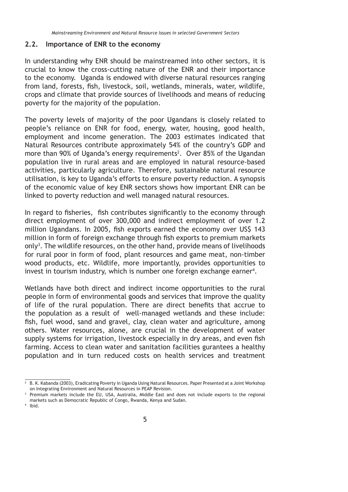#### **2.2. Importance of ENR to the economy**

In understanding why ENR should be mainstreamed into other sectors, it is crucial to know the cross-cutting nature of the ENR and their importance to the economy. Uganda is endowed with diverse natural resources ranging from land, forests, fish, livestock, soil, wetlands, minerals, water, wildlife, crops and climate that provide sources of livelihoods and means of reducing poverty for the majority of the population.

The poverty levels of majority of the poor Ugandans is closely related to people's reliance on ENR for food, energy, water, housing, good health, employment and income generation. The 2003 estimates indicated that Natural Resources contribute approximately 54% of the country's GDP and more than 90% of Uganda's energy requirements<sup>2</sup>. Over 85% of the Ugandan population live in rural areas and are employed in natural resource-based activities, particularly agriculture. Therefore, sustainable natural resource utilisation, is key to Uganda's efforts to ensure poverty reduction. A synopsis of the economic value of key ENR sectors shows how important ENR can be linked to poverty reduction and well managed natural resources.

In regard to fisheries, fish contributes significantly to the economy through direct employment of over 300,000 and indirect employment of over 1.2 million Ugandans. In 2005, fish exports earned the economy over US\$ 143 million in form of foreign exchange through fish exports to premium markets only<sup>3</sup>. The wildlife resources, on the other hand, provide means of livelihoods for rural poor in form of food, plant resources and game meat, non-timber wood products, etc. Wildlife, more importantly, provides opportunities to invest in tourism industry, which is number one foreign exchange earner<sup>4</sup>.

Wetlands have both direct and indirect income opportunities to the rural people in form of environmental goods and services that improve the quality of life of the rural population. There are direct benefits that accrue to the population as a result of well-managed wetlands and these include: fish, fuel wood, sand and gravel, clay, clean water and agriculture, among others. Water resources, alone, are crucial in the development of water supply systems for irrigation, livestock especially in dry areas, and even fish farming. Access to clean water and sanitation facilities gurantees a healthy population and in turn reduced costs on health services and treatment

4 Ibid.

<sup>2</sup> B. K. Kabanda (2003), Eradicating Poverty in Uganda Using Natural Resources. Paper Presented at a Joint Workshop on Integrating Environment and Natural Resources in PEAP Revision.<br>Premium markets include the EU, USA, Australia, Middle East and does not include exports to the regional

markets such as Democratic Republic of Congo, Rwanda, Kenya and Sudan.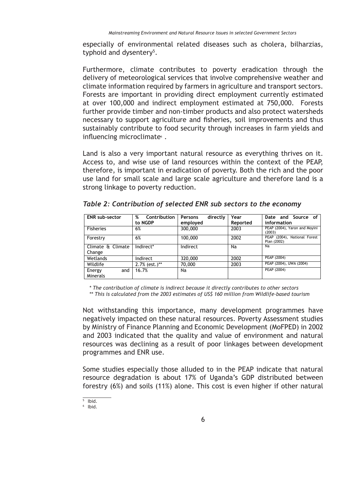especially of environmental related diseases such as cholera, bilharzias, typhoid and dysentery<sup>5</sup>.

Furthermore, climate contributes to poverty eradication through the delivery of meteorological services that involve comprehensive weather and climate information required by farmers in agriculture and transport sectors. Forests are important in providing direct employment currently estimated at over 100,000 and indirect employment estimated at 750,000. Forests further provide timber and non-timber products and also protect watersheds necessary to support agriculture and fisheries, soil improvements and thus sustainably contribute to food security through increases in farm yields and influencing microclimate<sup>®</sup>.

Land is also a very important natural resource as everything thrives on it. Access to, and wise use of land resources within the context of the PEAP, therefore, is important in eradication of poverty. Both the rich and the poor use land for small scale and large scale agriculture and therefore land is a strong linkage to poverty reduction.

| <b>ENR</b> sub-sector       | %<br>Contribution | directly<br>Persons | Year     | Date and Source of                          |
|-----------------------------|-------------------|---------------------|----------|---------------------------------------------|
|                             | to NGDP           | employed            | Reported | information                                 |
| <b>Fisheries</b>            | 6%                | 300,000             | 2003     | PEAP (2004), Yaron and Moyini<br>(2003)     |
| Forestry                    | 6%                | 100,000             | 2002     | PEAP (2004), National Forest<br>Plan (2002) |
| Climate & Climate<br>Change | Indirect*         | Indirect            | Na       | Na                                          |
| Wetlands                    | Indirect          | 320,000             | 2002     | PEAP (2004)                                 |
| Wildlife                    | $2.7\%$ (est.)**  | 70,000              | 2003     | PEAP (2004), UWA (2004)                     |
| and<br>Energy<br>Minerals   | 16.7%             | Na                  |          | PEAP (2004)                                 |

*Table 2: Contribution of selected ENR sub sectors to the economy* 

*\* The contribution of climate is indirect because it directly contributes to other sectors* 

*\*\* This is calculated from the 2003 estimates of US\$ 160 million from Wildlife-based tourism*

Not withstanding this importance, many development programmes have negatively impacted on these natural resources. Poverty Assessment studies by Ministry of Finance Planning and Economic Development (MoFPED) in 2002 and 2003 indicated that the quality and value of environment and natural resources was declining as a result of poor linkages between development programmes and ENR use.

Some studies especially those alluded to in the PEAP indicate that natural resource degradation is about 17% of Uganda's GDP distributed between forestry (6%) and soils (11%) alone. This cost is even higher if other natural

<sup>5</sup> Ibid.

<sup>6</sup> Ibid.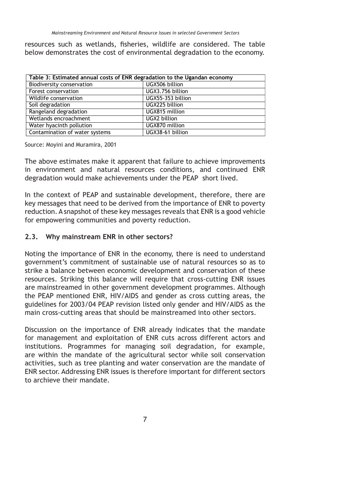resources such as wetlands, fisheries, wildlife are considered. The table below demonstrates the cost of environmental degradation to the economy.

| Table 3: Estimated annual costs of ENR degradation to the Ugandan economy |                   |  |  |
|---------------------------------------------------------------------------|-------------------|--|--|
| Biodiversity conservation                                                 | UGX506 billion    |  |  |
| Forest conservation                                                       | UGX3.756 billion  |  |  |
| Wildlife conservation                                                     | UGX55-353 billion |  |  |
| Soil degradation                                                          | UGX225 billion    |  |  |
| Rangeland degradation                                                     | UGX815 million    |  |  |
| Wetlands encroachment                                                     | UGX2 billion      |  |  |
| Water hyacinth pollution                                                  | UGX870 million    |  |  |
| Contamination of water systems                                            | UGX38-61 billion  |  |  |

Source: Moyini and Muramira, 2001

The above estimates make it apparent that failure to achieve improvements in environment and natural resources conditions, and continued ENR degradation would make achievements under the PEAP short lived.

In the context of PEAP and sustainable development, therefore, there are key messages that need to be derived from the importance of ENR to poverty reduction. A snapshot of these key messages reveals that ENR is a good vehicle for empowering communities and poverty reduction.

### **2.3. Why mainstream ENR in other sectors?**

Noting the importance of ENR in the economy, there is need to understand government's commitment of sustainable use of natural resources so as to strike a balance between economic development and conservation of these resources. Striking this balance will require that cross-cutting ENR issues are mainstreamed in other government development programmes. Although the PEAP mentioned ENR, HIV/AIDS and gender as cross cutting areas, the guidelines for 2003/04 PEAP revision listed only gender and HIV/AIDS as the main cross-cutting areas that should be mainstreamed into other sectors.

Discussion on the importance of ENR already indicates that the mandate for management and exploitation of ENR cuts across different actors and institutions. Programmes for managing soil degradation, for example, are within the mandate of the agricultural sector while soil conservation activities, such as tree planting and water conservation are the mandate of ENR sector. Addressing ENR issues is therefore important for different sectors to archieve their mandate.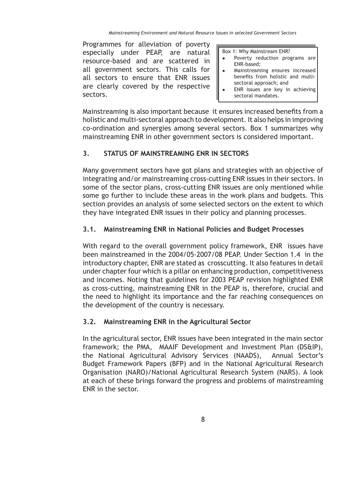Programmes for alleviation of poverty especially under PEAP, are natural resource-based and are scattered in all government sectors. This calls for all sectors to ensure that ENR issues are clearly covered by the respective sectors.

Box 1: Why Mainstream ENR?

- Poverty reduction programs are ENR-based;
- Mainstreaming ensures increased benefits from holistic and multisectoral approach; and
- ENR issues are key in achieving sectoral mandates.

Mainstreaming is also important because it ensures increased benefits from a holistic and multi-sectoral approach to development. It also helps in improving co-ordination and synergies among several sectors. Box 1 summarizes why mainstreaming ENR in other government sectors is considered important.

# **3. STATUS OF MAINSTREAMING ENR IN SECTORS**

Many government sectors have got plans and strategies with an objective of integrating and/or mainstreaming cross-cutting ENR issues in their sectors. In some of the sector plans, cross-cutting ENR issues are only mentioned while some go further to include these areas in the work plans and budgets. This section provides an analysis of some selected sectors on the extent to which they have integrated ENR issues in their policy and planning processes.

### **3.1. Mainstreaming ENR in National Policies and Budget Processes**

With regard to the overall government policy framework, ENR issues have been mainstreamed in the 2004/05-2007/08 PEAP. Under Section 1.4 in the introductory chapter, ENR are stated as crosscutting. It also features in detail under chapter four which is a pillar on enhancing production, competitiveness and incomes. Noting that guidelines for 2003 PEAP revision highlighted ENR as cross-cutting, mainstreaming ENR in the PEAP is, therefore, crucial and the need to highlight its importance and the far reaching consequences on the development of the country is necessary.

### **3.2. Mainstreaming ENR in the Agricultural Sector**

In the agricultural sector, ENR issues have been integrated in the main sector framework; the PMA, MAAIF Development and Investment Plan (DS&IP), the National Agricultural Advisory Services (NAADS), Annual Sector's Budget Framework Papers (BFP) and in the National Agricultural Research Organisation (NARO)/National Agricultural Research System (NARS). A look at each of these brings forward the progress and problems of mainstreaming ENR in the sector.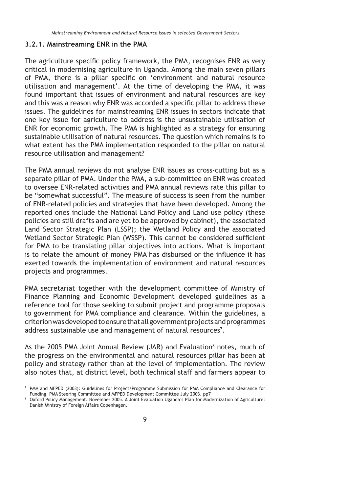#### **3.2.1. Mainstreaming ENR in the PMA**

The agriculture specific policy framework, the PMA, recognises ENR as very critical in modernising agriculture in Uganda. Among the main seven pillars of PMA, there is a pillar specific on 'environment and natural resource utilisation and management'. At the time of developing the PMA, it was found important that issues of environment and natural resources are key and this was a reason why ENR was accorded a specific pillar to address these issues. The guidelines for mainstreaming ENR issues in sectors indicate that one key issue for agriculture to address is the unsustainable utilisation of ENR for economic growth. The PMA is highlighted as a strategy for ensuring sustainable utilisation of natural resources. The question which remains is to what extent has the PMA implementation responded to the pillar on natural resource utilisation and management?

The PMA annual reviews do not analyse ENR issues as cross-cutting but as a separate pillar of PMA. Under the PMA, a sub-committee on ENR was created to oversee ENR-related activities and PMA annual reviews rate this pillar to be "somewhat successful". The measure of success is seen from the number of ENR-related policies and strategies that have been developed. Among the reported ones include the National Land Policy and Land use policy (these policies are still drafts and are yet to be approved by cabinet), the associated Land Sector Strategic Plan (LSSP); the Wetland Policy and the associated Wetland Sector Strategic Plan (WSSP). This cannot be considered sufficient for PMA to be translating pillar objectives into actions. What is important is to relate the amount of money PMA has disbursed or the influence it has exerted towards the implementation of environment and natural resources projects and programmes.

PMA secretariat together with the development committee of Ministry of Finance Planning and Economic Development developed guidelines as a reference tool for those seeking to submit project and programme proposals to government for PMA compliance and clearance. Within the guidelines, a criterion was developed to ensure that all government projects and programmes address sustainable use and management of natural resources<sup>7</sup>.

As the 2005 PMA Joint Annual Review (JAR) and Evaluation<sup>8</sup> notes, much of the progress on the environmental and natural resources pillar has been at policy and strategy rather than at the level of implementation. The review also notes that, at district level, both technical staff and farmers appear to

 $\frac{7}{7}$  PMA and MFPED (2003): Guidelines for Project/Programme Submission for PMA Compliance and Clearance for Funding. PMA Steering Committee and MFPED Development Committee July 2003. pp7 8

Oxford Policy Management. November 2005. A Joint Evaluation Uganda's Plan for Modernization of Agriculture: Danish Ministry of Foreign Affairs Copenhagen.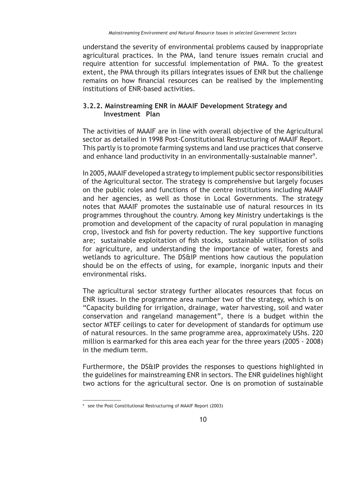understand the severity of environmental problems caused by inappropriate agricultural practices. In the PMA, land tenure issues remain crucial and require attention for successful implementation of PMA. To the greatest extent, the PMA through its pillars integrates issues of ENR but the challenge remains on how financial resources can be realised by the implementing institutions of ENR-based activities.

### **3.2.2. Mainstreaming ENR in MAAIF Development Strategy and Investment Plan**

The activities of MAAIF are in line with overall objective of the Agricultural sector as detailed in 1998 Post-Constitutional Restructuring of MAAIF Report. This partly is to promote farming systems and land use practices that conserve and enhance land productivity in an environmentally-sustainable manner<sup>9</sup>.

In 2005, MAAIF developed a strategy to implement public sector responsibilities of the Agricultural sector. The strategy is comprehensive but largely focuses on the public roles and functions of the centre institutions including MAAIF and her agencies, as well as those in Local Governments. The strategy notes that MAAIF promotes the sustainable use of natural resources in its programmes throughout the country. Among key Ministry undertakings is the promotion and development of the capacity of rural population in managing crop, livestock and fish for poverty reduction. The key supportive functions are; sustainable exploitation of fish stocks, sustainable utilisation of soils for agriculture, and understanding the importance of water, forests and wetlands to agriculture. The DS&IP mentions how cautious the population should be on the effects of using, for example, inorganic inputs and their environmental risks.

The agricultural sector strategy further allocates resources that focus on ENR issues. In the programme area number two of the strategy, which is on "Capacity building for irrigation, drainage, water harvesting, soil and water conservation and rangeland management", there is a budget within the sector MTEF ceilings to cater for development of standards for optimum use of natural resources. In the same programme area, approximately UShs. 220 million is earmarked for this area each year for the three years (2005 - 2008) in the medium term.

Furthermore, the DS&IP provides the responses to questions highlighted in the guidelines for mainstreaming ENR in sectors. The ENR guidelines highlight two actions for the agricultural sector. One is on promotion of sustainable

<sup>9</sup> see the Post Constitutional Restructuring of MAAIF Report (2003)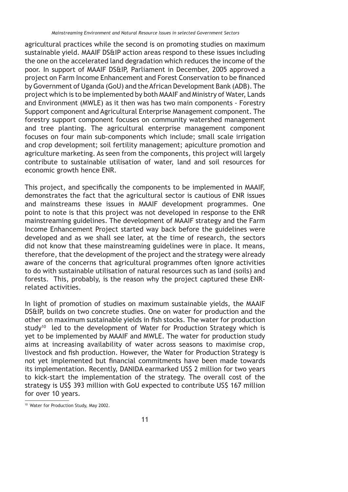agricultural practices while the second is on promoting studies on maximum sustainable yield. MAAIF DS&IP action areas respond to these issues including the one on the accelerated land degradation which reduces the income of the poor. In support of MAAIF DS&IP, Parliament in December, 2005 approved a project on Farm Income Enhancement and Forest Conservation to be financed by Government of Uganda (GoU) and the African Development Bank (ADB). The project which is to be implemented by both MAAIF and Ministry of Water, Lands and Environment (MWLE) as it then was has two main components - Forestry Support component and Agricultural Enterprise Management component. The forestry support component focuses on community watershed management and tree planting. The agricultural enterprise management component focuses on four main sub-components which include; small scale irrigation and crop development; soil fertility management; apiculture promotion and agriculture marketing. As seen from the components, this project will largely contribute to sustainable utilisation of water, land and soil resources for economic growth hence ENR.

This project, and specifically the components to be implemented in MAAIF, demonstrates the fact that the agricultural sector is cautious of ENR issues and mainstreams these issues in MAAIF development programmes. One point to note is that this project was not developed in response to the ENR mainstreaming guidelines. The development of MAAIF strategy and the Farm Income Enhancement Project started way back before the guidelines were developed and as we shall see later, at the time of research, the sectors did not know that these mainstreaming guidelines were in place. It means, therefore, that the development of the project and the strategy were already aware of the concerns that agricultural programmes often ignore activities to do with sustainable utilisation of natural resources such as land (soils) and forests. This, probably, is the reason why the project captured these ENRrelated activities.

In light of promotion of studies on maximum sustainable yields, the MAAIF DS&IP, builds on two concrete studies. One on water for production and the other on maximum sustainable yields in fish stocks. The water for production study<sup>10</sup> led to the development of Water for Production Strategy which is yet to be implemented by MAAIF and MWLE. The water for production study aims at increasing availability of water across seasons to maximise crop, livestock and fish production. However, the Water for Production Strategy is not yet implemented but financial commitments have been made towards its implementation. Recently, DANIDA earmarked US\$ 2 million for two years to kick-start the implementation of the strategy. The overall cost of the strategy is US\$ 393 million with GoU expected to contribute US\$ 167 million for over 10 years.

<sup>10</sup> Water for Production Study, May 2002.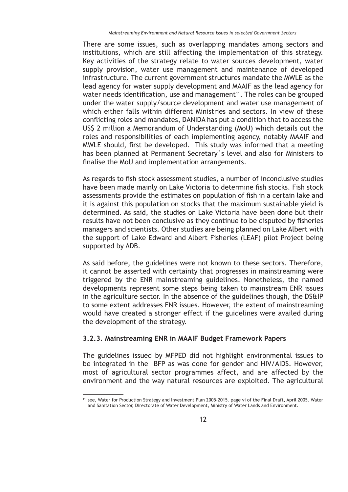There are some issues, such as overlapping mandates among sectors and institutions, which are still affecting the implementation of this strategy. Key activities of the strategy relate to water sources development, water supply provision, water use management and maintenance of developed infrastructure. The current government structures mandate the MWLE as the lead agency for water supply development and MAAIF as the lead agency for water needs identification, use and management<sup>11</sup>. The roles can be grouped under the water supply/source development and water use management of which either falls within different Ministries and sectors. In view of these conflicting roles and mandates, DANIDA has put a condition that to access the US\$ 2 million a Memorandum of Understanding (MoU) which details out the roles and responsibilities of each implementing agency, notably MAAIF and MWLE should, first be developed. This study was informed that a meeting has been planned at Permanent Secretary`s level and also for Ministers to finalise the MoU and implementation arrangements.

As regards to fish stock assessment studies, a number of inconclusive studies have been made mainly on Lake Victoria to determine fish stocks. Fish stock assessments provide the estimates on population of fish in a certain lake and it is against this population on stocks that the maximum sustainable yield is determined. As said, the studies on Lake Victoria have been done but their results have not been conclusive as they continue to be disputed by fisheries managers and scientists. Other studies are being planned on Lake Albert with the support of Lake Edward and Albert Fisheries (LEAF) pilot Project being supported by ADB.

As said before, the guidelines were not known to these sectors. Therefore, it cannot be asserted with certainty that progresses in mainstreaming were triggered by the ENR mainstreaming guidelines. Nonetheless, the named developments represent some steps being taken to mainstream ENR issues in the agriculture sector. In the absence of the guidelines though, the DS&IP to some extent addresses ENR issues. However, the extent of mainstreaming would have created a stronger effect if the guidelines were availed during the development of the strategy.

### **3.2.3. Mainstreaming ENR in MAAIF Budget Framework Papers**

The guidelines issued by MFPED did not highlight environmental issues to be integrated in the BFP as was done for gender and HIV/AIDS. However, most of agricultural sector programmes affect, and are affected by the environment and the way natural resources are exploited. The agricultural

<sup>11</sup> see, Water for Production Strategy and Investment Plan 2005-2015. page vi of the Final Draft, April 2005. Water and Sanitation Sector, Directorate of Water Development, Ministry of Water Lands and Environment.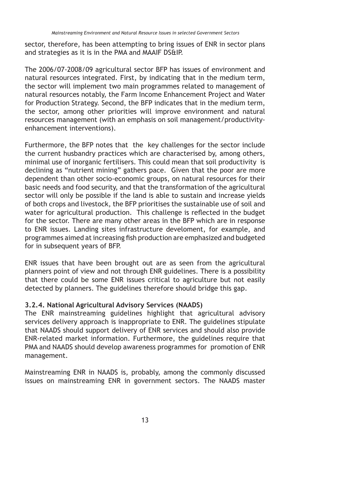sector, therefore, has been attempting to bring issues of ENR in sector plans and strategies as it is in the PMA and MAAIF DS&IP.

The 2006/07-2008/09 agricultural sector BFP has issues of environment and natural resources integrated. First, by indicating that in the medium term, the sector will implement two main programmes related to management of natural resources notably, the Farm Income Enhancement Project and Water for Production Strategy. Second, the BFP indicates that in the medium term, the sector, among other priorities will improve environment and natural resources management (with an emphasis on soil management/productivityenhancement interventions).

Furthermore, the BFP notes that the key challenges for the sector include the current husbandry practices which are characterised by, among others, minimal use of inorganic fertilisers. This could mean that soil productivity is declining as "nutrient mining" gathers pace. Given that the poor are more dependent than other socio-economic groups, on natural resources for their basic needs and food security, and that the transformation of the agricultural sector will only be possible if the land is able to sustain and increase yields of both crops and livestock, the BFP prioritises the sustainable use of soil and water for agricultural production. This challenge is reflected in the budget for the sector. There are many other areas in the BFP which are in response to ENR issues. Landing sites infrastructure develoment, for example, and programmes aimed at increasing fish production are emphasized and budgeted for in subsequent years of BFP.

ENR issues that have been brought out are as seen from the agricultural planners point of view and not through ENR guidelines. There is a possibility that there could be some ENR issues critical to agriculture but not easily detected by planners. The guidelines therefore should bridge this gap.

#### **3.2.4. National Agricultural Advisory Services (NAADS)**

The ENR mainstreaming guidelines highlight that agricultural advisory services delivery approach is inappropriate to ENR. The guidelines stipulate that NAADS should support delivery of ENR services and should also provide ENR-related market information. Furthermore, the guidelines require that PMA and NAADS should develop awareness programmes for promotion of ENR management.

Mainstreaming ENR in NAADS is, probably, among the commonly discussed issues on mainstreaming ENR in government sectors. The NAADS master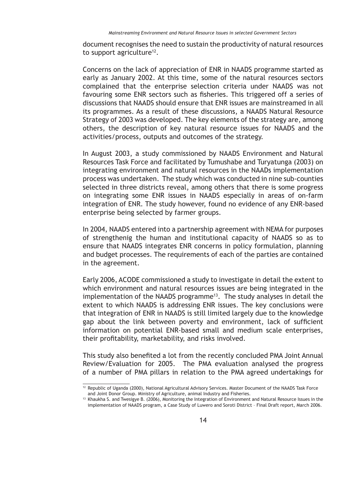document recognises the need to sustain the productivity of natural resources to support agriculture<sup>12</sup>.

Concerns on the lack of appreciation of ENR in NAADS programme started as early as January 2002. At this time, some of the natural resources sectors complained that the enterprise selection criteria under NAADS was not favouring some ENR sectors such as fisheries. This triggered off a series of discussions that NAADS should ensure that ENR issues are mainstreamed in all its programmes. As a result of these discussions, a NAADS Natural Resource Strategy of 2003 was developed. The key elements of the strategy are, among others, the description of key natural resource issues for NAADS and the activities/process, outputs and outcomes of the strategy.

In August 2003, a study commissioned by NAADS Environment and Natural Resources Task Force and facilitated by Tumushabe and Turyatunga (2003) on integrating environment and natural resources in the NAADs implementation process was undertaken. The study which was conducted in nine sub-counties selected in three districts reveal, among others that there is some progress on integrating some ENR issues in NAADS especially in areas of on-farm integration of ENR. The study however, found no evidence of any ENR-based enterprise being selected by farmer groups.

In 2004, NAADS entered into a partnership agreement with NEMA for purposes of strengthenig the human and institutional capacity of NAADS so as to ensure that NAADS integrates ENR concerns in policy formulation, planning and budget processes. The requirements of each of the parties are contained in the agreement.

Early 2006, ACODE commissioned a study to investigate in detail the extent to which environment and natural resources issues are being integrated in the implementation of the NAADS programme<sup>13</sup>. The study analyses in detail the extent to which NAADS is addressing ENR issues. The key conclusions were that integration of ENR in NAADS is still limited largely due to the knowledge gap about the link between poverty and environment, lack of sufficient information on potential ENR-based small and medium scale enterprises, their profitability, marketability, and risks involved.

This study also benefited a lot from the recently concluded PMA Joint Annual Review/Evaluation for 2005. The PMA evaluation analysed the progress of a number of PMA pillars in relation to the PMA agreed undertakings for

<sup>12</sup> Republic of Uganda (2000), National Agricultural Advisory Services. Master Document of the NAADS Task Force and Joint Donor Group. Ministry of Agriculture, animal Industry and Fisheries.

<sup>&</sup>lt;sup>13</sup> Khaukha S. and Twesigye B. (2006), Monitoring the Integration of Environment and Natural Resource Issues in the implementation of NAADS program, a Case Study of Luwero and Soroti District – Final Draft report, March 2006.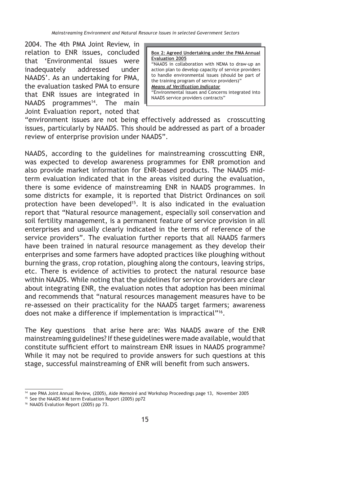2004. The 4th PMA Joint Review, in relation to ENR issues, concluded that 'Environmental issues were inadequately addressed under NAADS'. As an undertaking for PMA, the evaluation tasked PMA to ensure that ENR issues are integrated in NAADS programmes<sup>14</sup>. The main Joint Evaluation report, noted that

**Box 2: Agreed Undertaking under the PMA Annual Evaluation 2005** "NAADS in collaboration with NEMA to draw-up an action plan to develop capacity of service providers to handle environmental issues (should be part of the training program of service providers)" **Means of Verification Indicator** "Environmental issues and Concerns integrated into NAADS service providers contracts"

"environment issues are not being effectively addressed as crosscutting issues, particularly by NAADS. This should be addressed as part of a broader review of enterprise provision under NAADS".

NAADS, according to the guidelines for mainstreaming crosscutting ENR, was expected to develop awareness programmes for ENR promotion and also provide market information for ENR-based products. The NAADS midterm evaluation indicated that in the areas visited during the evaluation, there is some evidence of mainstreaming ENR in NAADS programmes. In some districts for example, it is reported that District Ordinances on soil protection have been developed<sup>15</sup>. It is also indicated in the evaluation report that "Natural resource management, especially soil conservation and soil fertility management, is a permanent feature of service provision in all enterprises and usually clearly indicated in the terms of reference of the service providers". The evaluation further reports that all NAADS farmers have been trained in natural resource management as they develop their enterprises and some farmers have adopted practices like ploughing without burning the grass, crop rotation, ploughing along the contours, leaving strips, etc. There is evidence of activities to protect the natural resource base within NAADS. While noting that the guidelines for service providers are clear about integrating ENR, the evaluation notes that adoption has been minimal and recommends that "natural resources management measures have to be re-assessed on their practicality for the NAADS target farmers; awareness does not make a difference if implementation is impractical"16.

The Key questions that arise here are: Was NAADS aware of the ENR mainstreaming guidelines? If these guidelines were made available, would that constitute sufficient effort to mainstream ENR issues in NAADS programme? While it may not be required to provide answers for such questions at this stage, successful mainstreaming of ENR will benefit from such answers.

<sup>14</sup> see PMA Joint Annual Review, (2005), Aide Memoiré and Workshop Proceedings page 13, November 2005

<sup>15</sup> See the NAADS Mid term Evaluation Report (2005) pp72

<sup>16</sup> NAADS Evalution Report (2005) pp 73.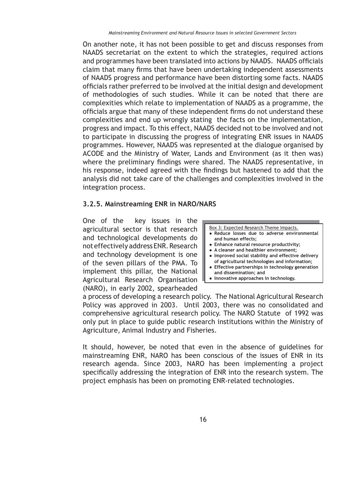On another note, it has not been possible to get and discuss responses from NAADS secretariat on the extent to which the strategies, required actions and programmes have been translated into actions by NAADS. NAADS officials claim that many firms that have been undertaking independent assessments of NAADS progress and performance have been distorting some facts. NAADS officials rather preferred to be involved at the initial design and development of methodologies of such studies. While it can be noted that there are complexities which relate to implementation of NAADS as a programme, the officials argue that many of these independent firms do not understand these complexities and end up wrongly stating the facts on the implementation, progress and impact. To this effect, NAADS decided not to be involved and not to participate in discussing the progress of integrating ENR issues in NAADS programmes. However, NAADS was represented at the dialogue organised by ACODE and the Ministry of Water, Lands and Environment (as it then was) where the preliminary findings were shared. The NAADS representative, in his response, indeed agreed with the findings but hastened to add that the analysis did not take care of the challenges and complexities involved in the integration process.

### **3.2.5. Mainstreaming ENR in NARO/NARS**

One of the key issues in the agricultural sector is that research and technological developments do not effectively address ENR. Research and technology development is one of the seven pillars of the PMA. To implement this pillar, the National Agricultural Research Organisation (NARO), in early 2002, spearheaded

Box 3: Expected Research Theme Impacts.  **Reduce losses due to adverse environmental and human effects;**

- **Enhance natural resource productivity;**
- **A cleaner and healthier environment;**
- **Improved social stability and effective delivery of agricultural technologies and information;**
- **Effective partnerships in technology generation and dissemination; and**
- **Innovative approaches in technology.**

a process of developing a research policy. The National Agricultural Research Policy was approved in 2003. Until 2003, there was no consolidated and comprehensive agricultural research policy. The NARO Statute of 1992 was only put in place to guide public research institutions within the Ministry of Agriculture, Animal Industry and Fisheries.

It should, however, be noted that even in the absence of guidelines for mainstreaming ENR, NARO has been conscious of the issues of ENR in its research agenda. Since 2003, NARO has been implementing a project specifically addressing the integration of ENR into the research system. The project emphasis has been on promoting ENR-related technologies.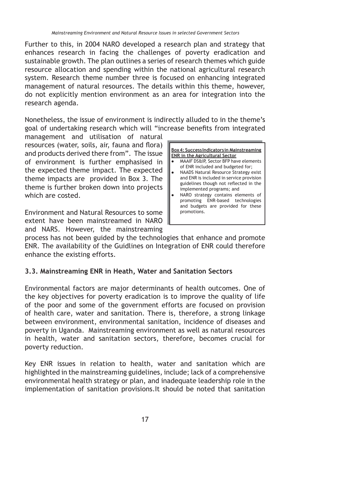Further to this, in 2004 NARO developed a research plan and strategy that enhances research in facing the challenges of poverty eradication and sustainable growth. The plan outlines a series of research themes which guide resource allocation and spending within the national agricultural research system. Research theme number three is focused on enhancing integrated management of natural resources. The details within this theme, however, do not explicitly mention environment as an area for integration into the research agenda.

Nonetheless, the issue of environment is indirectly alluded to in the theme's goal of undertaking research which will "increase benefits from integrated

management and utilisation of natural resources (water, soils, air, fauna and flora) and products derived there from". The issue of environment is further emphasised in the expected theme impact. The expected theme impacts are provided in Box 3. The theme is further broken down into projects which are costed.

Environment and Natural Resources to some extent have been mainstreamed in NARO and NARS. However, the mainstreaming



process has not been guided by the technologies that enhance and promote ENR. The availability of the Guidlines on Integration of ENR could therefore enhance the existing efforts.

### **3.3. Mainstreaming ENR in Heath, Water and Sanitation Sectors**

Environmental factors are major determinants of health outcomes. One of the key objectives for poverty eradication is to improve the quality of life of the poor and some of the government efforts are focused on provision of health care, water and sanitation. There is, therefore, a strong linkage between environment, environmental sanitation, incidence of diseases and poverty in Uganda. Mainstreaming environment as well as natural resources in health, water and sanitation sectors, therefore, becomes crucial for poverty reduction.

Key ENR issues in relation to health, water and sanitation which are highlighted in the mainstreaming guidelines, include; lack of a comprehensive environmental health strategy or plan, and inadequate leadership role in the implementation of sanitation provisions.It should be noted that sanitation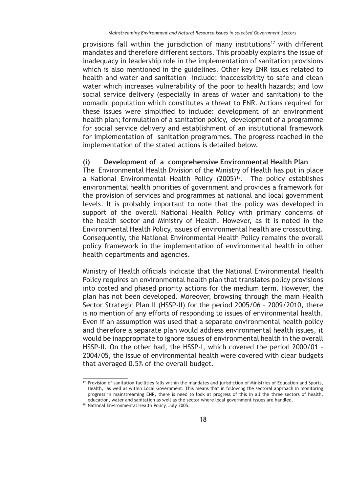provisions fall within the jurisdiction of many institutions<sup>17</sup> with different mandates and therefore different sectors. This probably explains the issue of inadequacy in leadership role in the implementation of sanitation provisions which is also mentioned in the guidelines. Other key ENR issues related to health and water and sanitation include; inaccessibility to safe and clean water which increases vulnerability of the poor to health hazards; and low social service delivery (especially in areas of water and sanitation) to the nomadic population which constitutes a threat to ENR. Actions required for these issues were simplified to include: development of an environment health plan; formulation of a sanitation policy, development of a programme for social service delivery and establishment of an institutional framework for implementation of sanitation programmes. The progress reached in the implementation of the stated actions is detailed below.

#### **(i) Development of a comprehensive Environmental Health Plan**

The Environmental Health Division of the Ministry of Health has put in place a National Environmental Health Policy (2005)18. The policy establishes environmental health priorities of government and provides a framework for the provision of services and programmes at national and local government levels. It is probably important to note that the policy was developed in support of the overall National Health Policy with primary concerns of the health sector and Ministry of Health. However, as it is noted in the Environmental Health Policy, issues of environmental health are crosscutting. Consequently, the National Environmental Health Policy remains the overall policy framework in the implementation of environmental health in other health departments and agencies.

Ministry of Health officials indicate that the National Environmental Health Policy requires an environmental health plan that translates policy provisions into costed and phased priority actions for the medium term. However, the plan has not been developed. Moreover, browsing through the main Health Sector Strategic Plan II (HSSP-II) for the period 2005/06 – 2009/2010, there is no mention of any efforts of responding to issues of environmental health. Even if an assumption was used that a separate environmental health policy and therefore a separate plan would address environmental health issues, it would be inappropriate to ignore issues of environmental health in the overall HSSP-II. On the other had, the HSSP-I, which covered the period 2000/01 – 2004/05, the issue of environmental health were covered with clear budgets that averaged 0.5% of the overall budget.

<sup>17</sup> Provision of sanitation facilities falls within the mandates and jurisdiction of Ministries of Education and Sports, Health, as well as within Local Government. This means that in following the sectoral approach in monitoring progress in mainstreaming ENR, there is need to look at progress of this in all the three sectors of health, education, water and sanitation as well as the sector where local government issues are handled. 18 National Environmental Health Policy, July 2005.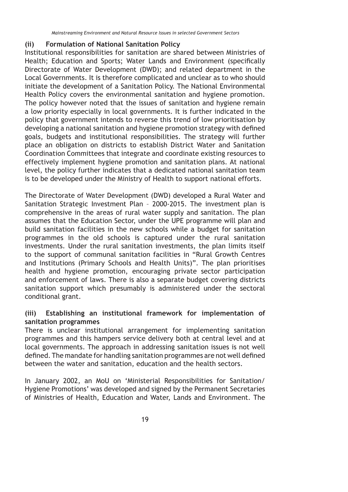### **(ii) Formulation of National Sanitation Policy**

Institutional responsibilities for sanitation are shared between Ministries of Health; Education and Sports; Water Lands and Environment (specifically Directorate of Water Development (DWD); and related department in the Local Governments. It is therefore complicated and unclear as to who should initiate the development of a Sanitation Policy. The National Environmental Health Policy covers the environmental sanitation and hygiene promotion. The policy however noted that the issues of sanitation and hygiene remain a low priority especially in local governments. It is further indicated in the policy that government intends to reverse this trend of low prioritisation by developing a national sanitation and hygiene promotion strategy with defined goals, budgets and institutional responsibilities. The strategy will further place an obligation on districts to establish District Water and Sanitation Coordination Committees that integrate and coordinate existing resources to effectively implement hygiene promotion and sanitation plans. At national level, the policy further indicates that a dedicated national sanitation team is to be developed under the Ministry of Health to support national efforts.

The Directorate of Water Development (DWD) developed a Rural Water and Sanitation Strategic Investment Plan – 2000-2015. The investment plan is comprehensive in the areas of rural water supply and sanitation. The plan assumes that the Education Sector, under the UPE programme will plan and build sanitation facilities in the new schools while a budget for sanitation programmes in the old schools is captured under the rural sanitation investments. Under the rural sanitation investments, the plan limits itself to the support of communal sanitation facilities in "Rural Growth Centres and Institutions (Primary Schools and Health Units)". The plan prioritises health and hygiene promotion, encouraging private sector participation and enforcement of laws. There is also a separate budget covering districts sanitation support which presumably is administered under the sectoral conditional grant.

### **(iii) Establishing an institutional framework for implementation of sanitation programmes**

There is unclear institutional arrangement for implementing sanitation programmes and this hampers service delivery both at central level and at local governments. The approach in addressing sanitation issues is not well defined. The mandate for handling sanitation programmes are not well defined between the water and sanitation, education and the health sectors.

In January 2002, an MoU on 'Ministerial Responsibilities for Sanitation/ Hygiene Promotions' was developed and signed by the Permanent Secretaries of Ministries of Health, Education and Water, Lands and Environment. The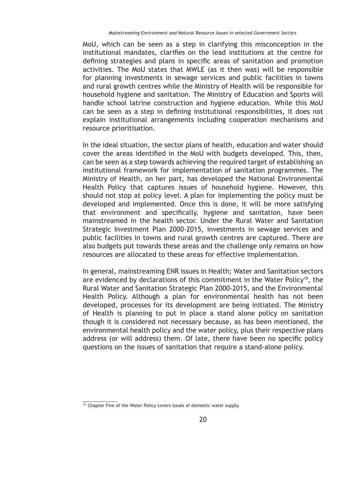MoU, which can be seen as a step in clarifying this misconception in the institutional mandates, clarifies on the lead institutions at the centre for defining strategies and plans in specific areas of sanitation and promotion activities. The MoU states that MWLE (as it then was) will be responsible for planning investments in sewage services and public facilities in towns and rural growth centres while the Ministry of Health will be responsible for household hygiene and sanitation. The Ministry of Education and Sports will handle school latrine construction and hygiene education. While this MoU can be seen as a step in defining institutional responsibilities, it does not explain institutional arrangements including cooperation mechanisms and resource prioritisation.

In the ideal situation, the sector plans of health, education and water should cover the areas identified in the MoU with budgets developed. This, then, can be seen as a step towards achieving the required target of establishing an institutional framework for implementation of sanitation programmes. The Ministry of Health, on her part, has developed the National Environmental Health Policy that captures issues of household hygiene. However, this should not stop at policy level. A plan for implementing the policy must be developed and implemented. Once this is done, it will be more satisfying that environment and specifically, hygiene and sanitation, have been mainstreamed in the health sector. Under the Rural Water and Sanitation Strategic Investment Plan 2000-2015, investments in sewage services and public facilities in towns and rural growth centres are captured. There are also budgets put towards these areas and the challenge only remains on how resources are allocated to these areas for effective implementation.

In general, mainstreaming ENR issues in Health; Water and Sanitation sectors are evidenced by declarations of this commitment in the Water Policy<sup>19</sup>, the Rural Water and Sanitation Strategic Plan 2000-2015, and the Environmental Health Policy. Although a plan for environmental health has not been developed, processes for its development are being initiated. The Ministry of Health is planning to put in place a stand alone policy on sanitation though it is considered not necessary because, as has been mentioned, the environmental health policy and the water policy, plus their respective plans address (or will address) them. Of late, there have been no specific policy questions on the issues of sanitation that require a stand-alone policy.

 $19$  Chapter Five of the Water Policy covers issues of domestic water supply.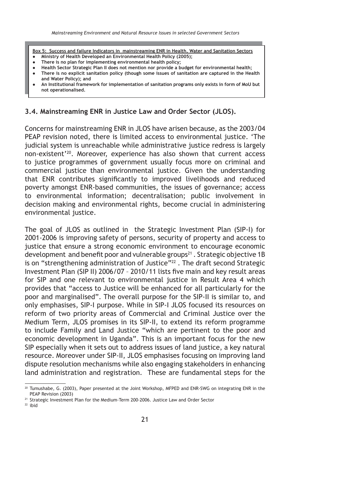**Box 5: Success and failure Indicators in mainstreaming ENR in Health, Water and Sanitation Sectors Ministry of Health Developed an Environmental Health Policy (2005);**

- **There is no plan for implementing environmental health policy;**
- **Health Sector Strategic Plan II does not mention nor provide a budget for environmental health;**
- **There is no explicit sanitation policy (though some issues of sanitation are captured in the Health and Water Policy); and**
- **An Institutional framework for implementation of sanitation programs only exists in form of MoU but not operationalised.**

#### **3.4. Mainstreaming ENR in Justice Law and Order Sector (JLOS).**

Concerns for mainstreaming ENR in JLOS have arisen because, as the 2003/04 PEAP revision noted, there is limited access to environmental justice. 'The judicial system is unreachable while administrative justice redress is largely non-existent'20. Moreover, experience has also shown that current access to justice programmes of government usually focus more on criminal and commercial justice than environmental justice. Given the understanding that ENR contributes significantly to improved livelihoods and reduced poverty amongst ENR-based communities, the issues of governance; access to environmental information; decentralisation; public involvement in decision making and environmental rights, become crucial in administering environmental justice.

The goal of JLOS as outlined in the Strategic Investment Plan (SIP-I) for 2001-2006 is improving safety of persons, security of property and access to justice that ensure a strong economic environment to encourage economic development and benefit poor and vulnerable groups<sup>21</sup>. Strategic objective 1B is on "strengthening administration of Justice"<sup>22</sup>. The draft second Strategic Investment Plan (SIP II) 2006/07 - 2010/11 lists five main and key result areas for SIP and one relevant to environmental justice in Result Area 4 which provides that "access to Justice will be enhanced for all particularly for the poor and marginalised". The overall purpose for the SIP-II is similar to, and only emphasises, SIP-I purpose. While in SIP-I JLOS focused its resources on reform of two priority areas of Commercial and Criminal Justice over the Medium Term, JLOS promises in its SIP-II, to extend its reform programme to include Family and Land Justice "which are pertinent to the poor and economic development in Uganda". This is an important focus for the new SIP especially when it sets out to address issues of land justice, a key natural resource. Moreover under SIP-II, JLOS emphasises focusing on improving land dispute resolution mechanisms while also engaging stakeholders in enhancing land administration and registration. These are fundamental steps for the

<sup>21</sup> Strategic Investment Plan for the Medium-Term 200-2006. Justice Law and Order Sector

<sup>&</sup>lt;sup>20</sup> Tumushabe, G. (2003), Paper presented at the Joint Workshop, MFPED and ENR-SWG on integrating ENR in the PEAP Revision (2003)

<sup>22</sup> ibid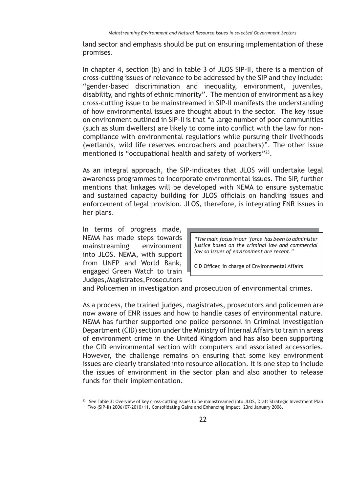land sector and emphasis should be put on ensuring implementation of these promises.

In chapter 4, section (b) and in table 3 of JLOS SIP-II, there is a mention of cross-cutting issues of relevance to be addressed by the SIP and they include: "gender-based discrimination and inequality, environment, juveniles, disability, and rights of ethnic minority". The mention of environment as a key cross-cutting issue to be mainstreamed in SIP-II manifests the understanding of how environmental issues are thought about in the sector. The key issue on environment outlined in SIP-II is that "a large number of poor communities (such as slum dwellers) are likely to come into conflict with the law for noncompliance with environmental regulations while pursuing their livelihoods (wetlands, wild life reserves encroachers and poachers)". The other issue mentioned is "occupational health and safety of workers"<sup>23</sup>.

As an integral approach, the SIP-indicates that JLOS will undertake legal awareness programmes to incorporate environmental issues. The SIP, further mentions that linkages will be developed with NEMA to ensure systematic and sustained capacity building for JLOS officials on handling issues and enforcement of legal provision. JLOS, therefore, is integrating ENR issues in her plans.

In terms of progress made, NEMA has made steps towards mainstreaming environment into JLOS. NEMA, with support from UNEP and World Bank, engaged Green Watch to train Judges, Magistrates, Prosecutors

*"The main focus in our 'force has been to administer justice based on the criminal law and commercial law so issues of environment are recent."*

CID Officer, in charge of Environmental Affairs

and Policemen in investigation and prosecution of environmental crimes.

As a process, the trained judges, magistrates, prosecutors and policemen are now aware of ENR issues and how to handle cases of environmental nature. NEMA has further supported one police personnel in Criminal Investigation Department (CID) section under the Ministry of Internal Affairs to train in areas of environment crime in the United Kingdom and has also been supporting the CID environmental section with computers and associated accessories. However, the challenge remains on ensuring that some key environment issues are clearly translated into resource allocation. It is one step to include the issues of environment in the sector plan and also another to release funds for their implementation.

 $\frac{23}{23}$  See Table 3: Overview of key cross-cutting issues to be mainstreamed into JLOS, Draft Strategic Investment Plan Two (SIP-II) 2006/07-2010/11, Consolidating Gains and Enhancing Impact. 23rd January 2006.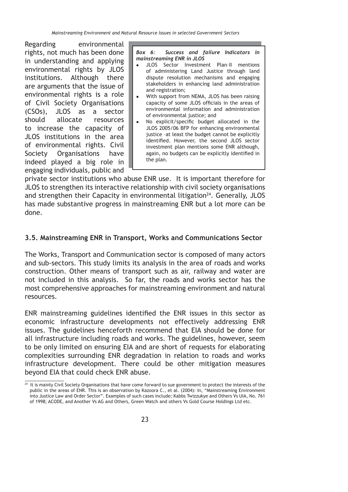*Mainstreaming Environment and Natural Resource Issues in selected Government Sectors*

Regarding environmental rights, not much has been done in understanding and applying environmental rights by JLOS institutions. Although there are arguments that the issue of environmental rights is a role of Civil Society Organisations (CSOs), JLOS as a sector should allocate resources to increase the capacity of JLOS institutions in the area of environmental rights. Civil Society Organisations have indeed played a big role in engaging individuals, public and

*Box 6: Success and failure Indicators in mainstreaming ENR in JLOS*

- JLOS Sector Investment Plan–II mentions of administering Land Justice through land dispute resolution mechanisms and engaging stakeholders in enhancing land administration and registration;
- With support from NEMA, JLOS has been raising capacity of some JLOS officials in the areas of environmental information and administration of environmental justice; and
- No explicit/specific budget allocated in the JLOS 2005/06 BFP for enhancing environmental justice –at least the budget cannot be explicitly identified. However, the second JLOS sector investment plan mentions some ENR although, again, no budgets can be explicitly identified in the plan.

private sector institutions who abuse ENR use. It is important therefore for JLOS to strengthen its interactive relationship with civil society organisations and strengthen their Capacity in environmental litigation<sup>24</sup>. Generally, JLOS has made substantive progress in mainstreaming ENR but a lot more can be done.

## **3.5. Mainstreaming ENR in Transport, Works and Communications Sector**

The Works, Transport and Communication sector is composed of many actors and sub-sectors. This study limits its analysis in the area of roads and works construction. Other means of transport such as air, railway and water are not included in this analysis. So far, the roads and works sector has the most comprehensive approaches for mainstreaming environment and natural resources.

ENR mainstreaming guidelines identified the ENR issues in this sector as economic infrastructure developments not effectively addressing ENR issues. The guidelines henceforth recommend that EIA should be done for all infrastructure including roads and works. The guidelines, however, seem to be only limited on ensuring EIA and are short of requests for elaborating complexities surrounding ENR degradation in relation to roads and works infrastructure development. There could be other mitigation measures beyond EIA that could check ENR abuse.

 $\frac{24}{10}$  It is mainly Civil Society Organisations that have come forward to sue government to protect the interests of the public in the areas of ENR. This is an observation by Kazoora C., et al. (2004): In, "Mainstreaming Environment into Justice Law and Order Sector". Examples of such cases include; Kabbs Twizzukye and Others Vs UIA, No. 761 of 1998; ACODE, and Another Vs AG and Others, Green Watch and others Vs Gold Course Holdings Ltd etc.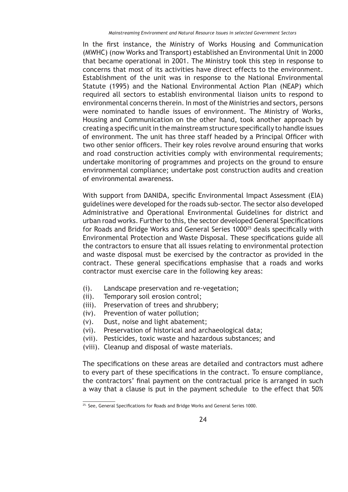In the first instance, the Ministry of Works Housing and Communication (MWHC) (now Works and Transport) established an Environmental Unit in 2000 that became operational in 2001. The Ministry took this step in response to concerns that most of its activities have direct effects to the environment. Establishment of the unit was in response to the National Environmental Statute (1995) and the National Environmental Action Plan (NEAP) which required all sectors to establish environmental liaison units to respond to environmental concerns therein. In most of the Ministries and sectors, persons were nominated to handle issues of environment. The Ministry of Works, Housing and Communication on the other hand, took another approach by creating a specific unit in the mainstream structure specifically to handle issues of environment. The unit has three staff headed by a Principal Officer with two other senior officers. Their key roles revolve around ensuring that works and road construction activities comply with environmental requirements; undertake monitoring of programmes and projects on the ground to ensure environmental compliance; undertake post construction audits and creation of environmental awareness.

With support from DANIDA, specific Environmental Impact Assessment (EIA) guidelines were developed for the roads sub-sector. The sector also developed Administrative and Operational Environmental Guidelines for district and urban road works. Further to this, the sector developed General Specifications for Roads and Bridge Works and General Series 1000<sup>25</sup> deals specifically with Environmental Protection and Waste Disposal. These specifications guide all the contractors to ensure that all issues relating to environmental protection and waste disposal must be exercised by the contractor as provided in the contract. These general specifications emphasise that a roads and works contractor must exercise care in the following key areas:

- (i). Landscape preservation and re-vegetation;
- (ii). Temporary soil erosion control;
- (iii). Preservation of trees and shrubbery;
- (iv). Prevention of water pollution;
- (v). Dust, noise and light abatement;
- (vi). Preservation of historical and archaeological data;
- (vii). Pesticides, toxic waste and hazardous substances; and
- (viii). Cleanup and disposal of waste materials.

The specifications on these areas are detailed and contractors must adhere to every part of these specifications in the contract. To ensure compliance, the contractors' final payment on the contractual price is arranged in such a way that a clause is put in the payment schedule to the effect that 50%

 $\frac{25.56}{25.56}$  General Specifications for Roads and Bridge Works and General Series 1000.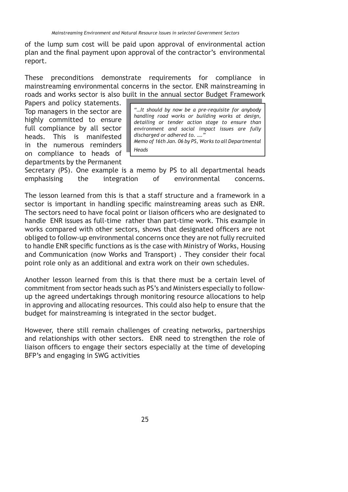of the lump sum cost will be paid upon approval of environmental action plan and the final payment upon approval of the contractor's environmental report.

These preconditions demonstrate requirements for compliance in mainstreaming environmental concerns in the sector. ENR mainstreaming in roads and works sector is also built in the annual sector Budget Framework

Papers and policy statements. Top managers in the sector are highly committed to ensure full compliance by all sector heads. This is manifested in the numerous reminders on compliance to heads of departments by the Permanent

*"…It should by now be a pre-requisite for anybody handling road works or building works at design, detailing or tender action stage to ensure than environment and social impact issues are fully discharged or adhered to. …." Memo of 16th Jan. 06 by PS, Works to all Departmental Heads*

Secretary (PS). One example is a memo by PS to all departmental heads emphasising the integration of environmental concerns.

The lesson learned from this is that a staff structure and a framework in a sector is important in handling specific mainstreaming areas such as ENR. The sectors need to have focal point or liaison officers who are designated to handle ENR issues as full-time rather than part-time work. This example in works compared with other sectors, shows that designated officers are not obliged to follow-up environmental concerns once they are not fully recruited to handle ENR specific functions as is the case with Ministry of Works, Housing and Communication (now Works and Transport) . They consider their focal point role only as an additional and extra work on their own schedules.

Another lesson learned from this is that there must be a certain level of commitment from sector heads such as PS's and Ministers especially to followup the agreed undertakings through monitoring resource allocations to help in approving and allocating resources. This could also help to ensure that the budget for mainstreaming is integrated in the sector budget.

However, there still remain challenges of creating networks, partnerships and relationships with other sectors. ENR need to strengthen the role of liaison officers to engage their sectors especially at the time of developing BFP's and engaging in SWG activities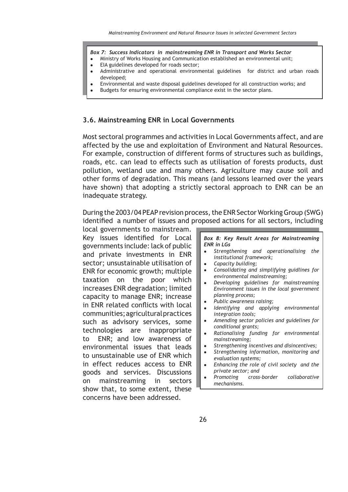#### *Box 7: Success Indicators in mainstreaming ENR in Transport and Works Sector*

- Ministry of Works Housing and Communication established an environmental unit;
- EIA guidelines developed for roads sector;
- Administrative and operational environmental guidelines for district and urban roads developed;
- Environmental and waste disposal guidelines developed for all construction works; and
	- Budgets for ensuring environmental compliance exist in the sector plans.

#### **3.6. Mainstreaming ENR in Local Governments**

Most sectoral programmes and activities in Local Governments affect, and are affected by the use and exploitation of Environment and Natural Resources. For example, construction of different forms of structures such as buildings, roads, etc. can lead to effects such as utilisation of forests products, dust pollution, wetland use and many others. Agriculture may cause soil and other forms of degradation. This means (and lessons learned over the years have shown) that adopting a strictly sectoral approach to ENR can be an inadequate strategy.

During the 2003/04 PEAP revision process, the ENR Sector Working Group (SWG) identified a number of issues and proposed actions for all sectors, including

local governments to mainstream. Key issues identified for Local governments include: lack of public and private investments in ENR sector; unsustainable utilisation of ENR for economic growth; multiple taxation on the poor which increases ENR degradation; limited capacity to manage ENR; increase in ENR related conflicts with local communities; agricultural practices such as advisory services, some technologies are inappropriate to ENR; and low awareness of environmental issues that leads to unsustainable use of ENR which in effect reduces access to ENR goods and services. Discussions on mainstreaming in sectors show that, to some extent, these concerns have been addressed.

*Box 8: Key Result Areas for Mainstreaming ENR in LGs*

- *Strengthening and operationalising the institutional framework;*
- *Capacity building;*
- *Consolidating and simplifying guidlines for environmental mainstreaming;*
- *Developing guidelines for mainstreaming Environment issues in the local government planning process;*
- *Public awareness raising;*
- *Identifying and applying environmental integration tools;*
- *Amending sector policies and guidelines for conditional grants;*
- *Rationalising funding for environmental mainstreaming;*
- *Strengthening incentives and disincentives;*
- *Strengthening information, monitoring and evaluation systems;*
- *Enhancing the role of civil society and the private sector; and*
- *Promoting cross-border collaborative mechanisms.*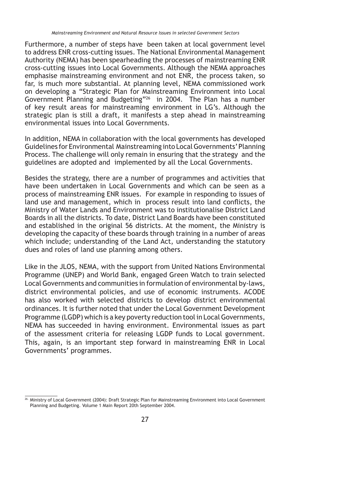Furthermore, a number of steps have been taken at local government level to address ENR cross-cutting issues. The National Environmental Management Authority (NEMA) has been spearheading the processes of mainstreaming ENR cross-cutting issues into Local Governments. Although the NEMA approaches emphasise mainstreaming environment and not ENR, the process taken, so far, is much more substantial. At planning level, NEMA commissioned work on developing a "Strategic Plan for Mainstreaming Environment into Local Government Planning and Budgeting"26 in 2004. The Plan has a number of key result areas for mainstreaming environment in LG's. Although the strategic plan is still a draft, it manifests a step ahead in mainstreaming environmental issues into Local Governments.

In addition, NEMA in collaboration with the local governments has developed Guidelines for Environmental Mainstreaming into Local Governments' Planning Process. The challenge will only remain in ensuring that the strategy and the guidelines are adopted and implemented by all the Local Governments.

Besides the strategy, there are a number of programmes and activities that have been undertaken in Local Governments and which can be seen as a process of mainstreaming ENR issues. For example in responding to issues of land use and management, which in process result into land conflicts, the Ministry of Water Lands and Environment was to institutionalise District Land Boards in all the districts. To date, District Land Boards have been constituted and established in the original 56 districts. At the moment, the Ministry is developing the capacity of these boards through training in a number of areas which include; understanding of the Land Act, understanding the statutory dues and roles of land use planning among others.

Like in the JLOS, NEMA, with the support from United Nations Environmental Programme (UNEP) and World Bank, engaged Green Watch to train selected Local Governments and communities in formulation of environmental by-laws, district environmental policies, and use of economic instruments. ACODE has also worked with selected districts to develop district environmental ordinances. It is further noted that under the Local Government Development Programme (LGDP) which is a key poverty reduction tool in Local Governments, NEMA has succeeded in having environment. Environmental issues as part of the assessment criteria for releasing LGDP funds to Local government. This, again, is an important step forward in mainstreaming ENR in Local Governments' programmes.

<sup>26.</sup> Ministry of Local Government (2004): Draft Strategic Plan for Mainstreaming Environment into Local Government Planning and Budgeting. Volume 1 Main Report 20th September 2004.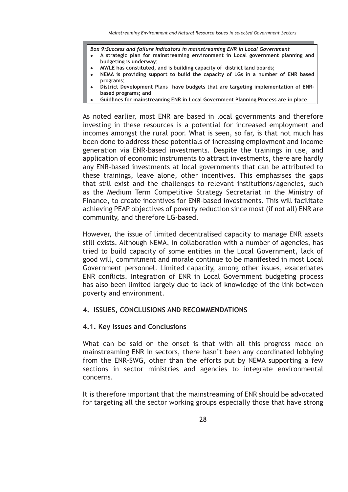*Box 9:Success and failure Indicators in mainstreaming ENR in Local Government*

- **A strategic plan for mainstreaming environment in Local government planning and budgeting is underway;**
- **MWLE has constituted, and is building capacity of district land boards;**
- **NEMA is providing support to build the capacity of LGs in a number of ENR based programs;**
- **District Development Plans have budgets that are targeting implementation of ENRbased programs; and**
- **Guidlines for mainstreaming ENR in Local Government Planning Process are in place.**

As noted earlier, most ENR are based in local governments and therefore investing in these resources is a potential for increased employment and incomes amongst the rural poor. What is seen, so far, is that not much has been done to address these potentials of increasing employment and income generation via ENR-based investments. Despite the trainings in use, and application of economic instruments to attract investments, there are hardly any ENR-based investments at local governments that can be attributed to these trainings, leave alone, other incentives. This emphasises the gaps that still exist and the challenges to relevant institutions/agencies, such as the Medium Term Competitive Strategy Secretariat in the Ministry of Finance, to create incentives for ENR-based investments. This will facilitate achieving PEAP objectives of poverty reduction since most (if not all) ENR are community, and therefore LG-based.

However, the issue of limited decentralised capacity to manage ENR assets still exists. Although NEMA, in collaboration with a number of agencies, has tried to build capacity of some entities in the Local Government, lack of good will, commitment and morale continue to be manifested in most Local Government personnel. Limited capacity, among other issues, exacerbates ENR conflicts. Integration of ENR in Local Government budgeting process has also been limited largely due to lack of knowledge of the link between poverty and environment.

#### **4. ISSUES, CONCLUSIONS AND RECOMMENDATIONS**

#### **4.1. Key Issues and Conclusions**

What can be said on the onset is that with all this progress made on mainstreaming ENR in sectors, there hasn't been any coordinated lobbying from the ENR-SWG, other than the efforts put by NEMA supporting a few sections in sector ministries and agencies to integrate environmental concerns.

It is therefore important that the mainstreaming of ENR should be advocated for targeting all the sector working groups especially those that have strong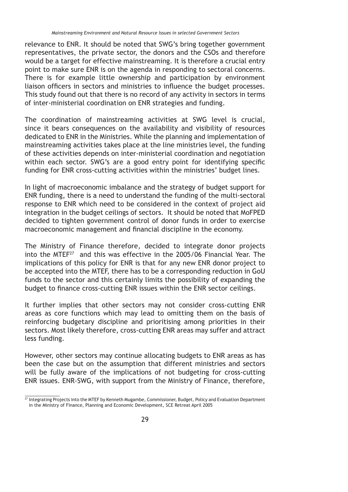relevance to ENR. It should be noted that SWG's bring together government representatives, the private sector, the donors and the CSOs and therefore would be a target for effective mainstreaming. It is therefore a crucial entry point to make sure ENR is on the agenda in responding to sectoral concerns. There is for example little ownership and participation by environment liaison officers in sectors and ministries to influence the budget processes. This study found out that there is no record of any activity in sectors in terms of inter-ministerial coordination on ENR strategies and funding.

The coordination of mainstreaming activities at SWG level is crucial, since it bears consequences on the availability and visibility of resources dedicated to ENR in the Ministries. While the planning and implementation of mainstreaming activities takes place at the line ministries level, the funding of these activities depends on inter-ministerial coordination and negotiation within each sector. SWG's are a good entry point for identifying specific funding for ENR cross-cutting activities within the ministries' budget lines.

In light of macroeconomic imbalance and the strategy of budget support for ENR funding, there is a need to understand the funding of the multi-sectoral response to ENR which need to be considered in the context of project aid integration in the budget ceilings of sectors. It should be noted that MoFPED decided to tighten government control of donor funds in order to exercise macroeconomic management and financial discipline in the economy.

The Ministry of Finance therefore, decided to integrate donor projects into the MTEF<sup>27</sup> and this was effective in the 2005/06 Financial Year. The implications of this policy for ENR is that for any new ENR donor project to be accepted into the MTEF, there has to be a corresponding reduction in GoU funds to the sector and this certainly limits the possibility of expanding the budget to finance cross-cutting ENR issues within the ENR sector ceilings.

It further implies that other sectors may not consider cross-cutting ENR areas as core functions which may lead to omitting them on the basis of reinforcing budgetary discipline and prioritising among priorities in their sectors. Most likely therefore, cross-cutting ENR areas may suffer and attract less funding.

However, other sectors may continue allocating budgets to ENR areas as has been the case but on the assumption that different ministries and sectors will be fully aware of the implications of not budgeting for cross-cutting ENR issues. ENR-SWG, with support from the Ministry of Finance, therefore,

 $\frac{27}{27}$  Integrating Projects into the MTEF by Kenneth Mugambe, Commissioner, Budget, Policy and Evaluation Department in the Ministry of Finance, Planning and Economic Development, SCE Retreat April 2005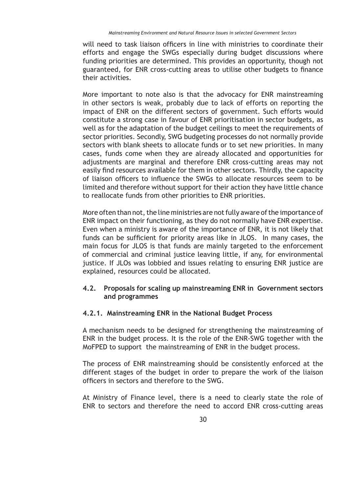will need to task liaison officers in line with ministries to coordinate their efforts and engage the SWGs especially during budget discussions where funding priorities are determined. This provides an opportunity, though not guaranteed, for ENR cross-cutting areas to utilise other budgets to finance their activities.

More important to note also is that the advocacy for ENR mainstreaming in other sectors is weak, probably due to lack of efforts on reporting the impact of ENR on the different sectors of government. Such efforts would constitute a strong case in favour of ENR prioritisation in sector budgets, as well as for the adaptation of the budget ceilings to meet the requirements of sector priorities. Secondly, SWG budgeting processes do not normally provide sectors with blank sheets to allocate funds or to set new priorities. In many cases, funds come when they are already allocated and opportunities for adjustments are marginal and therefore ENR cross-cutting areas may not easily find resources available for them in other sectors. Thirdly, the capacity of liaison officers to influence the SWGs to allocate resources seem to be limited and therefore without support for their action they have little chance to reallocate funds from other priorities to ENR priorities.

More often than not, the line ministries are not fully aware of the importance of ENR impact on their functioning, as they do not normally have ENR expertise. Even when a ministry is aware of the importance of ENR, it is not likely that funds can be sufficient for priority areas like in JLOS. In many cases, the main focus for JLOS is that funds are mainly targeted to the enforcement of commercial and criminal justice leaving little, if any, for environmental justice. If JLOs was lobbied and issues relating to ensuring ENR justice are explained, resources could be allocated.

### **4.2. Proposals for scaling up mainstreaming ENR in Government sectors and programmes**

### **4.2.1. Mainstreaming ENR in the National Budget Process**

A mechanism needs to be designed for strengthening the mainstreaming of ENR in the budget process. It is the role of the ENR-SWG together with the MoFPED to support the mainstreaming of ENR in the budget process.

The process of ENR mainstreaming should be consistently enforced at the different stages of the budget in order to prepare the work of the liaison officers in sectors and therefore to the SWG.

At Ministry of Finance level, there is a need to clearly state the role of ENR to sectors and therefore the need to accord ENR cross-cutting areas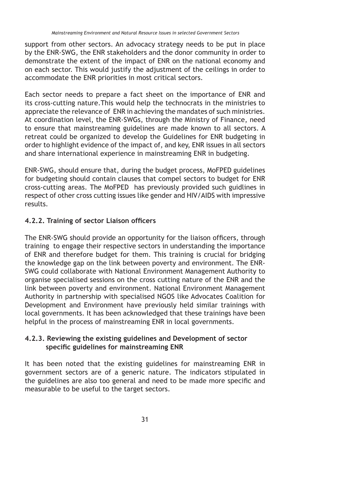support from other sectors. An advocacy strategy needs to be put in place by the ENR-SWG, the ENR stakeholders and the donor community in order to demonstrate the extent of the impact of ENR on the national economy and on each sector. This would justify the adjustment of the ceilings in order to accommodate the ENR priorities in most critical sectors.

Each sector needs to prepare a fact sheet on the importance of ENR and its cross-cutting nature.This would help the technocrats in the ministries to appreciate the relevance of ENR in achieving the mandates of such ministries. At coordination level, the ENR-SWGs, through the Ministry of Finance, need to ensure that mainstreaming guidelines are made known to all sectors. A retreat could be organized to develop the Guidelines for ENR budgeting in order to highlight evidence of the impact of, and key, ENR issues in all sectors and share international experience in mainstreaming ENR in budgeting.

ENR-SWG, should ensure that, during the budget process, MoFPED guidelines for budgeting should contain clauses that compel sectors to budget for ENR cross-cutting areas. The MoFPED has previously provided such guidlines in respect of other cross cutting issues like gender and HIV/AIDS with impressive results.

### **4.2.2. Training of sector Liaison officers**

The ENR-SWG should provide an opportunity for the liaison officers, through training to engage their respective sectors in understanding the importance of ENR and therefore budget for them. This training is crucial for bridging the knowledge gap on the link between poverty and environment. The ENR-SWG could collaborate with National Environment Management Authority to organise specialised sessions on the cross cutting nature of the ENR and the link between poverty and environment. National Environment Management Authority in partnership with specialised NGOS like Advocates Coalition for Development and Environment have previously held similar trainings with local governments. It has been acknowledged that these trainings have been helpful in the process of mainstreaming ENR in local governments.

### **4.2.3. Reviewing the existing guidelines and Development of sector**  specific guidelines for mainstreaming ENR

It has been noted that the existing guidelines for mainstreaming ENR in government sectors are of a generic nature. The indicators stipulated in the guidelines are also too general and need to be made more specific and measurable to be useful to the target sectors.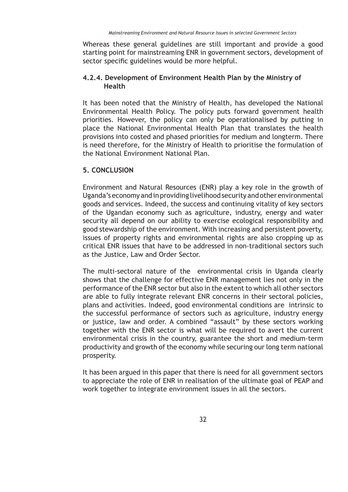Whereas these general guidelines are still important and provide a good starting point for mainstreaming ENR in government sectors, development of sector specific guidelines would be more helpful.

### **4.2.4. Development of Environment Health Plan by the Ministry of Health**

It has been noted that the Ministry of Health, has developed the National Environmental Health Policy. The policy puts forward government health priorities. However, the policy can only be operationalised by putting in place the National Environmental Health Plan that translates the health provisions into costed and phased priorities for medium and longterm. There is need therefore, for the Ministry of Health to prioritise the formulation of the National Environment National Plan.

### **5. CONCLUSION**

Environment and Natural Resources (ENR) play a key role in the growth of Uganda's economy and in providing livelihood security and other environmental goods and services. Indeed, the success and continuing vitality of key sectors of the Ugandan economy such as agriculture, industry, energy and water security all depend on our ability to exercise ecological responsibility and good stewardship of the environment. With increasing and persistent poverty, issues of property rights and environmental rights are also cropping up as critical ENR issues that have to be addressed in non-traditional sectors such as the Justice, Law and Order Sector.

The multi-sectoral nature of the environmental crisis in Uganda clearly shows that the challenge for effective ENR management lies not only in the performance of the ENR sector but also in the extent to which all other sectors are able to fully integrate relevant ENR concerns in their sectoral policies, plans and activities. Indeed, good environmental conditions are intrinsic to the successful performance of sectors such as agriculture, industry energy or justice, law and order. A combined "assault" by these sectors working together with the ENR sector is what will be required to avert the current environmental crisis in the country, guarantee the short and medium-term productivity and growth of the economy while securing our long term national prosperity.

It has been argued in this paper that there is need for all government sectors to appreciate the role of ENR in realisation of the ultimate goal of PEAP and work together to integrate environment issues in all the sectors.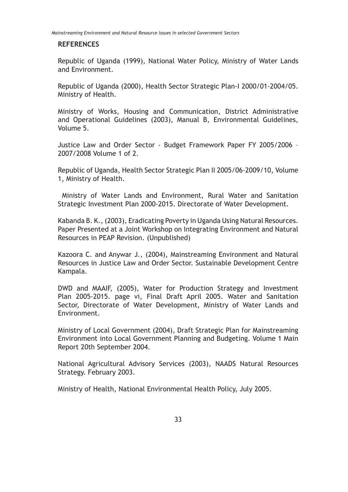#### **REFERENCES**

Republic of Uganda (1999), National Water Policy, Ministry of Water Lands and Environment.

Republic of Uganda (2000), Health Sector Strategic Plan-I 2000/01-2004/05. Ministry of Health.

Ministry of Works, Housing and Communication, District Administrative and Operational Guidelines (2003), Manual B, Environmental Guidelines, Volume 5.

Justice Law and Order Sector - Budget Framework Paper FY 2005/2006 – 2007/2008 Volume 1 of 2.

Republic of Uganda, Health Sector Strategic Plan II 2005/06-2009/10, Volume 1, Ministry of Health.

 Ministry of Water Lands and Environment, Rural Water and Sanitation Strategic Investment Plan 2000-2015. Directorate of Water Development.

Kabanda B. K., (2003), Eradicating Poverty in Uganda Using Natural Resources. Paper Presented at a Joint Workshop on Integrating Environment and Natural Resources in PEAP Revision. (Unpublished)

Kazoora C. and Anywar J., (2004), Mainstreaming Environment and Natural Resources in Justice Law and Order Sector. Sustainable Development Centre Kampala.

DWD and MAAIF, (2005), Water for Production Strategy and Investment Plan 2005-2015. page vi, Final Draft April 2005. Water and Sanitation Sector, Directorate of Water Development, Ministry of Water Lands and Environment.

Ministry of Local Government (2004), Draft Strategic Plan for Mainstreaming Environment into Local Government Planning and Budgeting. Volume 1 Main Report 20th September 2004.

National Agricultural Advisory Services (2003), NAADS Natural Resources Strategy. February 2003.

Ministry of Health, National Environmental Health Policy, July 2005.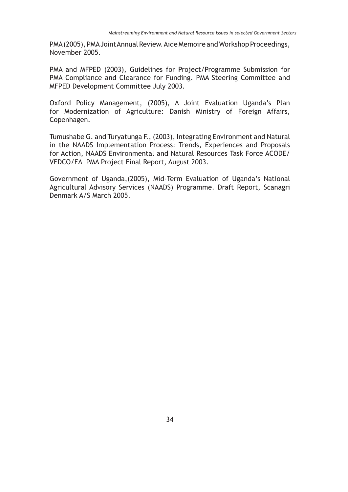PMA (2005), PMA Joint Annual Review. Aide Memoire and Workshop Proceedings, November 2005.

PMA and MFPED (2003), Guidelines for Project/Programme Submission for PMA Compliance and Clearance for Funding. PMA Steering Committee and MFPED Development Committee July 2003.

Oxford Policy Management, (2005), A Joint Evaluation Uganda's Plan for Modernization of Agriculture: Danish Ministry of Foreign Affairs, Copenhagen.

Tumushabe G. and Turyatunga F., (2003), Integrating Environment and Natural in the NAADS Implementation Process: Trends, Experiences and Proposals for Action, NAADS Environmental and Natural Resources Task Force ACODE/ VEDCO/EA PMA Project Final Report, August 2003.

Government of Uganda,(2005), Mid-Term Evaluation of Uganda's National Agricultural Advisory Services (NAADS) Programme. Draft Report, Scanagri Denmark A/S March 2005.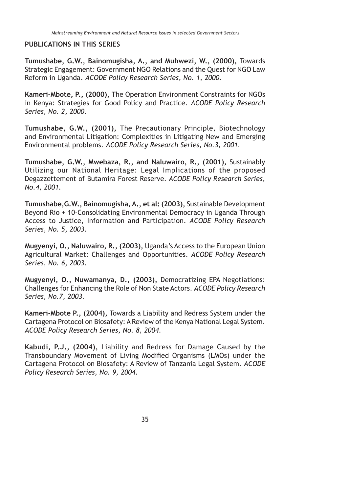#### **PUBLICATIONS IN THIS SERIES**

**Tumushabe, G.W., Bainomugisha, A., and Muhwezi, W., (2000),** Towards Strategic Engagement: Government NGO Relations and the Quest for NGO Law Reform in Uganda. *ACODE Policy Research Series, No. 1, 2000.*

**Kameri-Mbote, P., (2000),** The Operation Environment Constraints for NGOs in Kenya: Strategies for Good Policy and Practice. *ACODE Policy Research Series, No. 2, 2000.*

**Tumushabe, G.W., (2001),** The Precautionary Principle, Biotechnology and Environmental Litigation: Complexities in Litigating New and Emerging Environmental problems. *ACODE Policy Research Series, No.3, 2001.*

**Tumushabe, G.W., Mwebaza, R., and Naluwairo, R., (2001),** Sustainably Utilizing our National Heritage: Legal Implications of the proposed Degazzettement of Butamira Forest Reserve*. ACODE Policy Research Series, No.4, 2001.*

**Tumushabe,G.W., Bainomugisha, A., et al: (2003),** Sustainable Development Beyond Rio + 10-Consolidating Environmental Democracy in Uganda Through Access to Justice, Information and Participation. *ACODE Policy Research Series, No. 5, 2003.*

**Mugyenyi, O., Naluwairo, R., (2003),** Uganda's Access to the European Union Agricultural Market: Challenges and Opportunities. *ACODE Policy Research Series, No. 6, 2003.*

**Mugyenyi, O., Nuwamanya, D., (2003),** Democratizing EPA Negotiations: Challenges for Enhancing the Role of Non State Actors. *ACODE Policy Research Series, No.7, 2003.*

**Kameri-Mbote P., (2004),** Towards a Liability and Redress System under the Cartagena Protocol on Biosafety: A Review of the Kenya National Legal System. *ACODE Policy Research Series, No. 8, 2004.*

**Kabudi, P.J., (2004),** Liability and Redress for Damage Caused by the Transboundary Movement of Living Modified Organisms (LMOs) under the Cartagena Protocol on Biosafety: A Review of Tanzania Legal System. *ACODE Policy Research Series, No. 9, 2004.*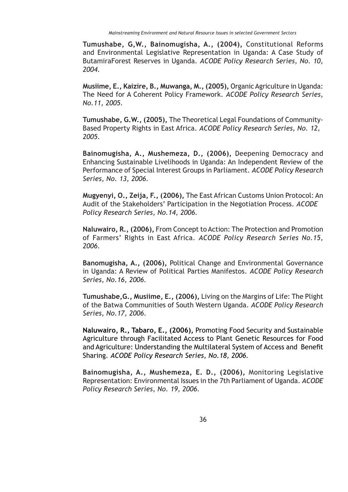**Tumushabe, G,W., Bainomugisha, A., (2004),** Constitutional Reforms and Environmental Legislative Representation in Uganda: A Case Study of ButamiraForest Reserves in Uganda. *ACODE Policy Research Series, No. 10, 2004.*

**Musiime, E., Kaizire, B., Muwanga, M., (2005),** Organic Agriculture in Uganda: The Need for A Coherent Policy Framework. *ACODE Policy Research Series, No.11, 2005.*

**Tumushabe, G.W., (2005),** The Theoretical Legal Foundations of Community-Based Property Rights in East Africa. *ACODE Policy Research Series, No. 12, 2005.*

**Bainomugisha, A., Mushemeza, D., (2006),** Deepening Democracy and Enhancing Sustainable Livelihoods in Uganda: An Independent Review of the Performance of Special Interest Groups in Parliament. *ACODE Policy Research Series, No. 13, 2006.*

**Mugyenyi, O., Zeija, F., (2006),** The East African Customs Union Protocol: An Audit of the Stakeholders' Participation in the Negotiation Process. *ACODE Policy Research Series, No.14, 2006.*

**Naluwairo, R., (2006),** From Concept to Action: The Protection and Promotion of Farmers' Rights in East Africa. *ACODE Policy Research Series No.15, 2006.*

**Banomugisha, A., (2006),** Political Change and Environmental Governance in Uganda: A Review of Political Parties Manifestos. *ACODE Policy Research Series, No.16, 2006.*

**Tumushabe,G., Musiime, E., (2006),** Living on the Margins of Life: The Plight of the Batwa Communities of South Western Uganda. *ACODE Policy Research Series, No.17, 2006.* 

**Naluwairo, R., Tabaro, E., (2006),** Promoting Food Security and Sustainable Agriculture through Facilitated Access to Plant Genetic Resources for Food and Agriculture: Understanding the Multilateral System of Access and Benefit Sharing. *ACODE Policy Research Series, No.18, 2006.* 

**Bainomugisha, A., Mushemeza, E. D., (2006),** Monitoring Legislative Representation: Environmental Issues in the 7th Parliament of Uganda. *ACODE Policy Research Series, No. 19, 2006.*